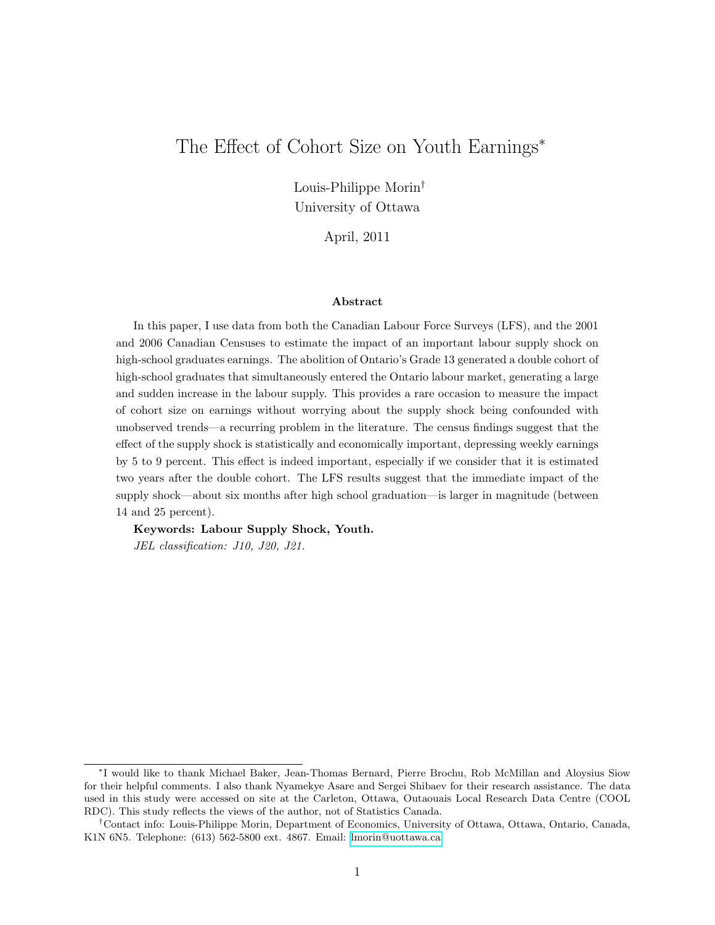# The Effect of Cohort Size on Youth Earnings<sup>∗</sup>

Louis-Philippe Morin† University of Ottawa

April, 2011

#### Abstract

In this paper, I use data from both the Canadian Labour Force Surveys (LFS), and the 2001 and 2006 Canadian Censuses to estimate the impact of an important labour supply shock on high-school graduates earnings. The abolition of Ontario's Grade 13 generated a double cohort of high-school graduates that simultaneously entered the Ontario labour market, generating a large and sudden increase in the labour supply. This provides a rare occasion to measure the impact of cohort size on earnings without worrying about the supply shock being confounded with unobserved trends—a recurring problem in the literature. The census findings suggest that the effect of the supply shock is statistically and economically important, depressing weekly earnings by 5 to 9 percent. This effect is indeed important, especially if we consider that it is estimated two years after the double cohort. The LFS results suggest that the immediate impact of the supply shock—about six months after high school graduation—is larger in magnitude (between 14 and 25 percent).

Keywords: Labour Supply Shock, Youth.

JEL classification: J10, J20, J21.

<sup>∗</sup> I would like to thank Michael Baker, Jean-Thomas Bernard, Pierre Brochu, Rob McMillan and Aloysius Siow for their helpful comments. I also thank Nyamekye Asare and Sergei Shibaev for their research assistance. The data used in this study were accessed on site at the Carleton, Ottawa, Outaouais Local Research Data Centre (COOL RDC). This study reflects the views of the author, not of Statistics Canada.

<sup>†</sup>Contact info: Louis-Philippe Morin, Department of Economics, University of Ottawa, Ottawa, Ontario, Canada, K1N 6N5. Telephone: (613) 562-5800 ext. 4867. Email: [lmorin@uottawa.ca.](mailto:lmorin@uottawa.ca)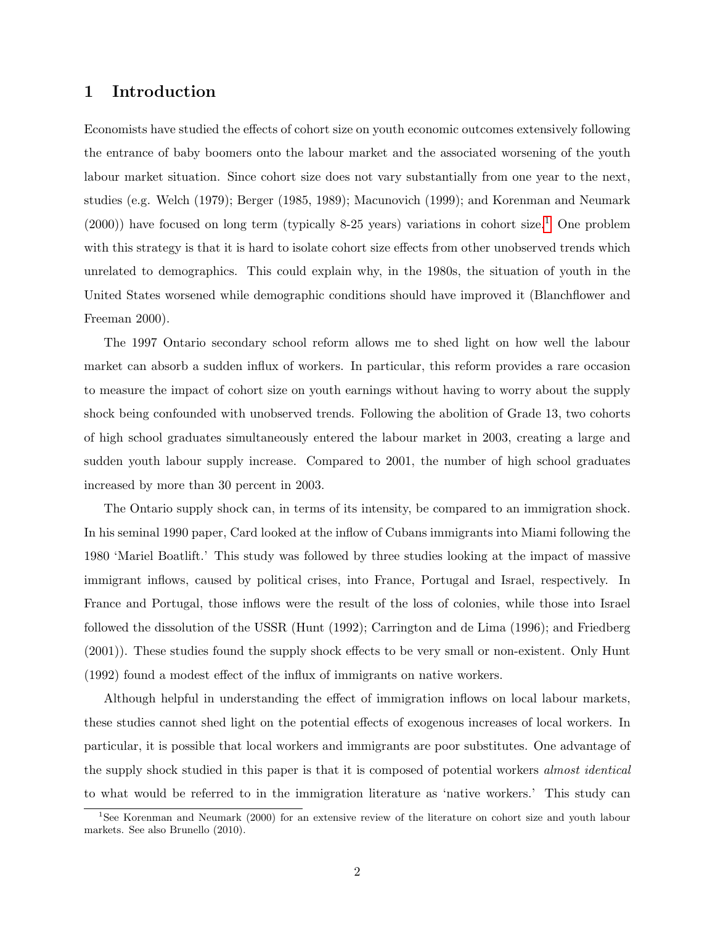### 1 Introduction

Economists have studied the effects of cohort size on youth economic outcomes extensively following the entrance of baby boomers onto the labour market and the associated worsening of the youth labour market situation. Since cohort size does not vary substantially from one year to the next, studies (e.g. Welch (1979); Berger (1985, 1989); Macunovich (1999); and Korenman and Neumark  $(2000)$ ) have focused on long term (typically 8-25 years) variations in cohort size.<sup>[1](#page-1-0)</sup> One problem with this strategy is that it is hard to isolate cohort size effects from other unobserved trends which unrelated to demographics. This could explain why, in the 1980s, the situation of youth in the United States worsened while demographic conditions should have improved it (Blanchflower and Freeman 2000).

The 1997 Ontario secondary school reform allows me to shed light on how well the labour market can absorb a sudden influx of workers. In particular, this reform provides a rare occasion to measure the impact of cohort size on youth earnings without having to worry about the supply shock being confounded with unobserved trends. Following the abolition of Grade 13, two cohorts of high school graduates simultaneously entered the labour market in 2003, creating a large and sudden youth labour supply increase. Compared to 2001, the number of high school graduates increased by more than 30 percent in 2003.

The Ontario supply shock can, in terms of its intensity, be compared to an immigration shock. In his seminal 1990 paper, Card looked at the inflow of Cubans immigrants into Miami following the 1980 'Mariel Boatlift.' This study was followed by three studies looking at the impact of massive immigrant inflows, caused by political crises, into France, Portugal and Israel, respectively. In France and Portugal, those inflows were the result of the loss of colonies, while those into Israel followed the dissolution of the USSR (Hunt (1992); Carrington and de Lima (1996); and Friedberg (2001)). These studies found the supply shock effects to be very small or non-existent. Only Hunt (1992) found a modest effect of the influx of immigrants on native workers.

Although helpful in understanding the effect of immigration inflows on local labour markets, these studies cannot shed light on the potential effects of exogenous increases of local workers. In particular, it is possible that local workers and immigrants are poor substitutes. One advantage of the supply shock studied in this paper is that it is composed of potential workers *almost identical* to what would be referred to in the immigration literature as 'native workers.' This study can

<span id="page-1-0"></span><sup>1</sup>See Korenman and Neumark (2000) for an extensive review of the literature on cohort size and youth labour markets. See also Brunello (2010).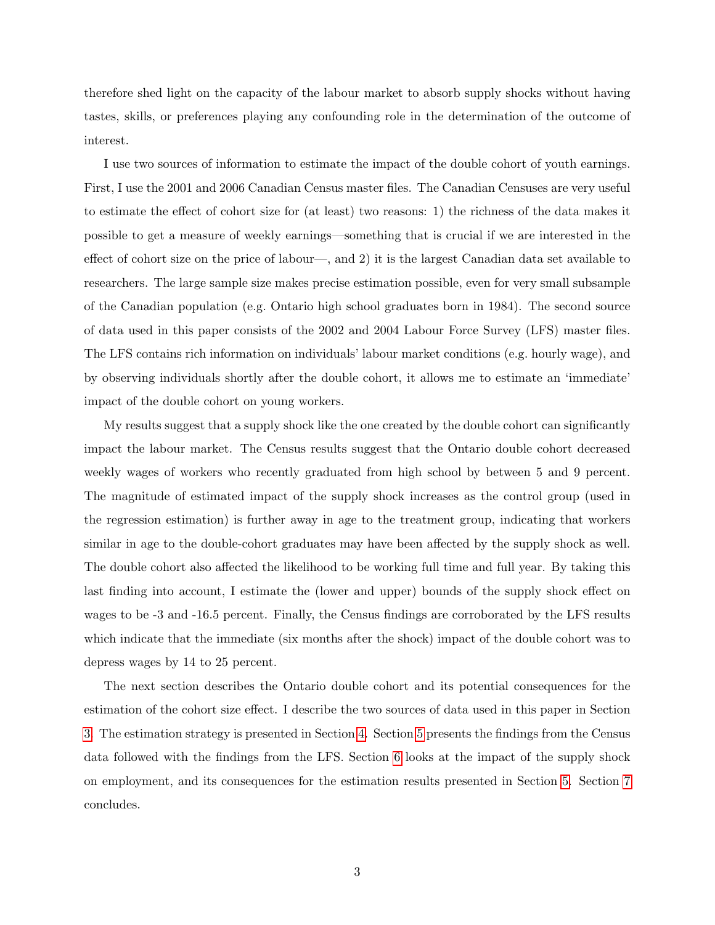therefore shed light on the capacity of the labour market to absorb supply shocks without having tastes, skills, or preferences playing any confounding role in the determination of the outcome of interest.

I use two sources of information to estimate the impact of the double cohort of youth earnings. First, I use the 2001 and 2006 Canadian Census master files. The Canadian Censuses are very useful to estimate the effect of cohort size for (at least) two reasons: 1) the richness of the data makes it possible to get a measure of weekly earnings—something that is crucial if we are interested in the effect of cohort size on the price of labour—, and 2) it is the largest Canadian data set available to researchers. The large sample size makes precise estimation possible, even for very small subsample of the Canadian population (e.g. Ontario high school graduates born in 1984). The second source of data used in this paper consists of the 2002 and 2004 Labour Force Survey (LFS) master files. The LFS contains rich information on individuals' labour market conditions (e.g. hourly wage), and by observing individuals shortly after the double cohort, it allows me to estimate an 'immediate' impact of the double cohort on young workers.

My results suggest that a supply shock like the one created by the double cohort can significantly impact the labour market. The Census results suggest that the Ontario double cohort decreased weekly wages of workers who recently graduated from high school by between 5 and 9 percent. The magnitude of estimated impact of the supply shock increases as the control group (used in the regression estimation) is further away in age to the treatment group, indicating that workers similar in age to the double-cohort graduates may have been affected by the supply shock as well. The double cohort also affected the likelihood to be working full time and full year. By taking this last finding into account, I estimate the (lower and upper) bounds of the supply shock effect on wages to be -3 and -16.5 percent. Finally, the Census findings are corroborated by the LFS results which indicate that the immediate (six months after the shock) impact of the double cohort was to depress wages by 14 to 25 percent.

The next section describes the Ontario double cohort and its potential consequences for the estimation of the cohort size effect. I describe the two sources of data used in this paper in Section [3.](#page-3-0) The estimation strategy is presented in Section [4.](#page-7-0) Section [5](#page-10-0) presents the findings from the Census data followed with the findings from the LFS. Section [6](#page-16-0) looks at the impact of the supply shock on employment, and its consequences for the estimation results presented in Section [5.](#page-10-0) Section [7](#page-18-0) concludes.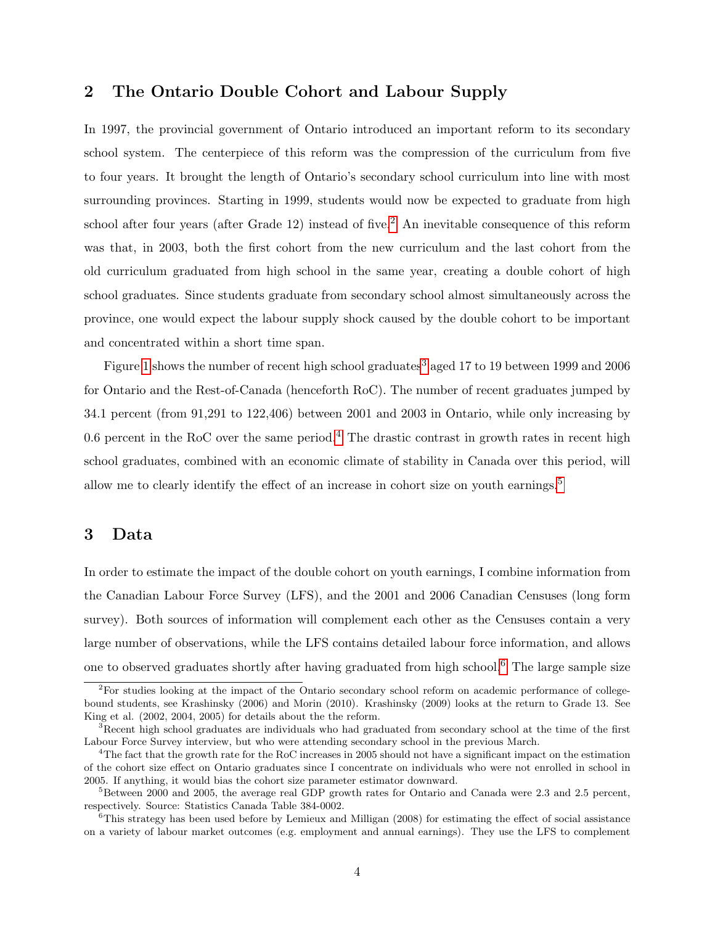## 2 The Ontario Double Cohort and Labour Supply

In 1997, the provincial government of Ontario introduced an important reform to its secondary school system. The centerpiece of this reform was the compression of the curriculum from five to four years. It brought the length of Ontario's secondary school curriculum into line with most surrounding provinces. Starting in 1999, students would now be expected to graduate from high school after four years (after Grade 1[2](#page-3-1)) instead of five.<sup>2</sup> An inevitable consequence of this reform was that, in 2003, both the first cohort from the new curriculum and the last cohort from the old curriculum graduated from high school in the same year, creating a double cohort of high school graduates. Since students graduate from secondary school almost simultaneously across the province, one would expect the labour supply shock caused by the double cohort to be important and concentrated within a short time span.

Figure [1](#page-4-0) shows the number of recent high school graduates<sup>[3](#page-3-2)</sup> aged 17 to 19 between 1999 and 2006 for Ontario and the Rest-of-Canada (henceforth RoC). The number of recent graduates jumped by 34.1 percent (from 91,291 to 122,406) between 2001 and 2003 in Ontario, while only increasing by 0.6 percent in the RoC over the same period.<sup>[4](#page-3-3)</sup> The drastic contrast in growth rates in recent high school graduates, combined with an economic climate of stability in Canada over this period, will allow me to clearly identify the effect of an increase in cohort size on youth earnings.[5](#page-3-4)

### <span id="page-3-0"></span>3 Data

In order to estimate the impact of the double cohort on youth earnings, I combine information from the Canadian Labour Force Survey (LFS), and the 2001 and 2006 Canadian Censuses (long form survey). Both sources of information will complement each other as the Censuses contain a very large number of observations, while the LFS contains detailed labour force information, and allows one to observed graduates shortly after having graduated from high school.[6](#page-3-5) The large sample size

<span id="page-3-1"></span><sup>2</sup>For studies looking at the impact of the Ontario secondary school reform on academic performance of collegebound students, see Krashinsky (2006) and Morin (2010). Krashinsky (2009) looks at the return to Grade 13. See King et al. (2002, 2004, 2005) for details about the the reform.

<span id="page-3-2"></span><sup>&</sup>lt;sup>3</sup>Recent high school graduates are individuals who had graduated from secondary school at the time of the first Labour Force Survey interview, but who were attending secondary school in the previous March.

<span id="page-3-3"></span><sup>4</sup>The fact that the growth rate for the RoC increases in 2005 should not have a significant impact on the estimation of the cohort size effect on Ontario graduates since I concentrate on individuals who were not enrolled in school in 2005. If anything, it would bias the cohort size parameter estimator downward.

<span id="page-3-4"></span> ${}^{5}$ Between 2000 and 2005, the average real GDP growth rates for Ontario and Canada were 2.3 and 2.5 percent, respectively. Source: Statistics Canada Table 384-0002.

<span id="page-3-5"></span> $6$ This strategy has been used before by Lemieux and Milligan (2008) for estimating the effect of social assistance on a variety of labour market outcomes (e.g. employment and annual earnings). They use the LFS to complement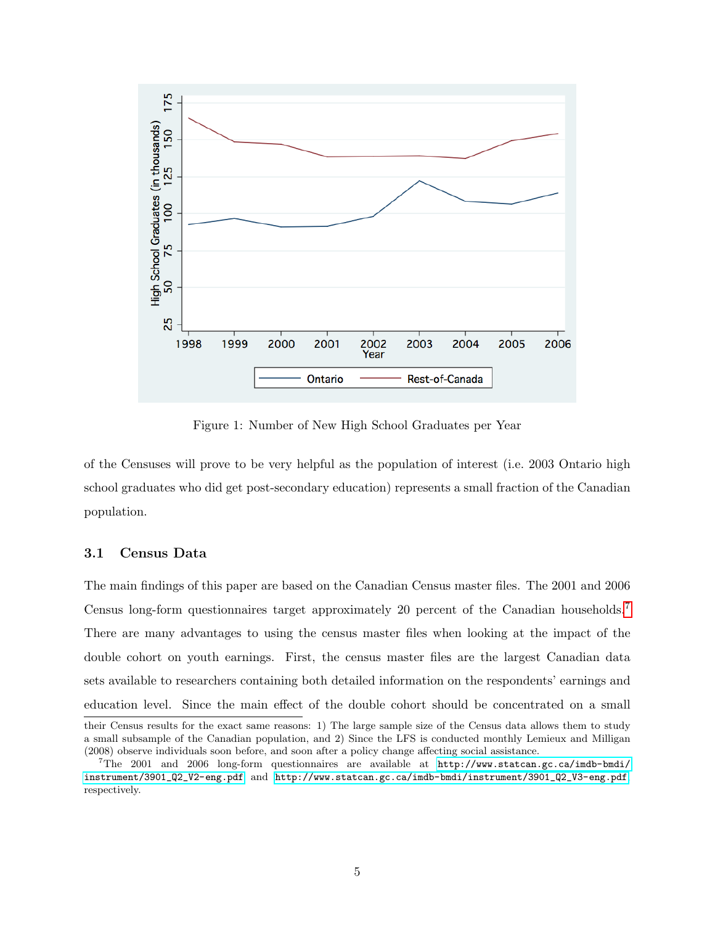

<span id="page-4-0"></span>Figure 1: Number of New High School Graduates per Year

of the Censuses will prove to be very helpful as the population of interest (i.e. 2003 Ontario high school graduates who did get post-secondary education) represents a small fraction of the Canadian population.

### 3.1 Census Data

The main findings of this paper are based on the Canadian Census master files. The 2001 and 2006 Census long-form questionnaires target approximately 20 percent of the Canadian households.[7](#page-4-1) There are many advantages to using the census master files when looking at the impact of the double cohort on youth earnings. First, the census master files are the largest Canadian data sets available to researchers containing both detailed information on the respondents' earnings and education level. Since the main effect of the double cohort should be concentrated on a small

their Census results for the exact same reasons: 1) The large sample size of the Census data allows them to study a small subsample of the Canadian population, and 2) Since the LFS is conducted monthly Lemieux and Milligan (2008) observe individuals soon before, and soon after a policy change affecting social assistance.

<span id="page-4-1"></span> $7\text{The }2001$  and  $2006$  long-form questionnaires are available at [http://www.statcan.gc.ca/imdb-bmdi/](http://www.statcan.gc.ca/imdb-bmdi/instrument/3901_Q2_V2-eng.pdf) [instrument/3901\\_Q2\\_V2-eng.pdf](http://www.statcan.gc.ca/imdb-bmdi/instrument/3901_Q2_V2-eng.pdf) and [http://www.statcan.gc.ca/imdb-bmdi/instrument/3901\\_Q2\\_V3-eng.pdf](http://www.statcan.gc.ca/imdb-bmdi/instrument/3901_Q2_V3-eng.pdf), respectively.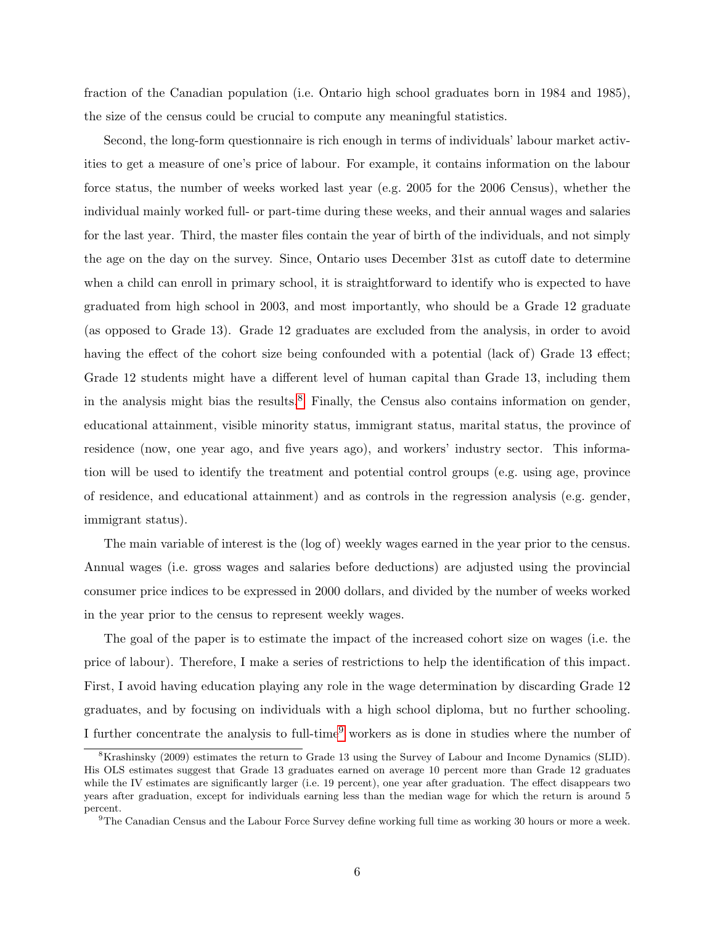fraction of the Canadian population (i.e. Ontario high school graduates born in 1984 and 1985), the size of the census could be crucial to compute any meaningful statistics.

Second, the long-form questionnaire is rich enough in terms of individuals' labour market activities to get a measure of one's price of labour. For example, it contains information on the labour force status, the number of weeks worked last year (e.g. 2005 for the 2006 Census), whether the individual mainly worked full- or part-time during these weeks, and their annual wages and salaries for the last year. Third, the master files contain the year of birth of the individuals, and not simply the age on the day on the survey. Since, Ontario uses December 31st as cutoff date to determine when a child can enroll in primary school, it is straightforward to identify who is expected to have graduated from high school in 2003, and most importantly, who should be a Grade 12 graduate (as opposed to Grade 13). Grade 12 graduates are excluded from the analysis, in order to avoid having the effect of the cohort size being confounded with a potential (lack of) Grade 13 effect; Grade 12 students might have a different level of human capital than Grade 13, including them in the analysis might bias the results. $8$  Finally, the Census also contains information on gender, educational attainment, visible minority status, immigrant status, marital status, the province of residence (now, one year ago, and five years ago), and workers' industry sector. This information will be used to identify the treatment and potential control groups (e.g. using age, province of residence, and educational attainment) and as controls in the regression analysis (e.g. gender, immigrant status).

The main variable of interest is the (log of) weekly wages earned in the year prior to the census. Annual wages (i.e. gross wages and salaries before deductions) are adjusted using the provincial consumer price indices to be expressed in 2000 dollars, and divided by the number of weeks worked in the year prior to the census to represent weekly wages.

The goal of the paper is to estimate the impact of the increased cohort size on wages (i.e. the price of labour). Therefore, I make a series of restrictions to help the identification of this impact. First, I avoid having education playing any role in the wage determination by discarding Grade 12 graduates, and by focusing on individuals with a high school diploma, but no further schooling. I further concentrate the analysis to full-time<sup>[9](#page-5-1)</sup> workers as is done in studies where the number of

<span id="page-5-0"></span><sup>8</sup>Krashinsky (2009) estimates the return to Grade 13 using the Survey of Labour and Income Dynamics (SLID). His OLS estimates suggest that Grade 13 graduates earned on average 10 percent more than Grade 12 graduates while the IV estimates are significantly larger (i.e. 19 percent), one year after graduation. The effect disappears two years after graduation, except for individuals earning less than the median wage for which the return is around 5 percent.

<span id="page-5-1"></span><sup>9</sup>The Canadian Census and the Labour Force Survey define working full time as working 30 hours or more a week.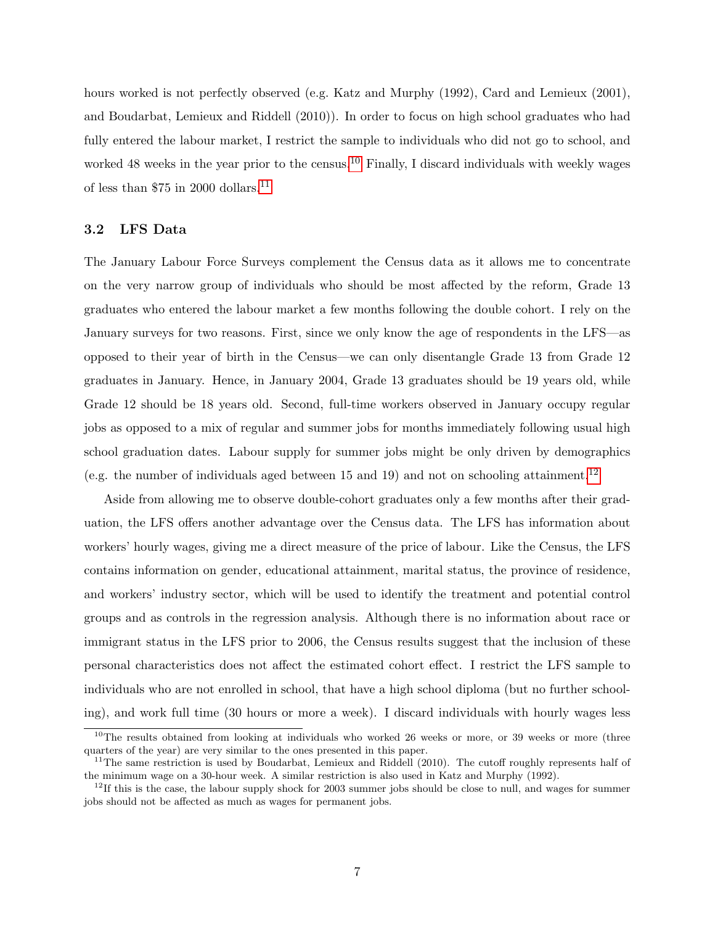hours worked is not perfectly observed (e.g. Katz and Murphy (1992), Card and Lemieux (2001), and Boudarbat, Lemieux and Riddell (2010)). In order to focus on high school graduates who had fully entered the labour market, I restrict the sample to individuals who did not go to school, and worked 48 weeks in the year prior to the census.<sup>[10](#page-6-0)</sup> Finally, I discard individuals with weekly wages of less than \$75 in 2000 dollars.<sup>[11](#page-6-1)</sup>

### 3.2 LFS Data

The January Labour Force Surveys complement the Census data as it allows me to concentrate on the very narrow group of individuals who should be most affected by the reform, Grade 13 graduates who entered the labour market a few months following the double cohort. I rely on the January surveys for two reasons. First, since we only know the age of respondents in the LFS—as opposed to their year of birth in the Census—we can only disentangle Grade 13 from Grade 12 graduates in January. Hence, in January 2004, Grade 13 graduates should be 19 years old, while Grade 12 should be 18 years old. Second, full-time workers observed in January occupy regular jobs as opposed to a mix of regular and summer jobs for months immediately following usual high school graduation dates. Labour supply for summer jobs might be only driven by demographics (e.g. the number of individuals aged between 15 and 19) and not on schooling attainment.[12](#page-6-2)

Aside from allowing me to observe double-cohort graduates only a few months after their graduation, the LFS offers another advantage over the Census data. The LFS has information about workers' hourly wages, giving me a direct measure of the price of labour. Like the Census, the LFS contains information on gender, educational attainment, marital status, the province of residence, and workers' industry sector, which will be used to identify the treatment and potential control groups and as controls in the regression analysis. Although there is no information about race or immigrant status in the LFS prior to 2006, the Census results suggest that the inclusion of these personal characteristics does not affect the estimated cohort effect. I restrict the LFS sample to individuals who are not enrolled in school, that have a high school diploma (but no further schooling), and work full time (30 hours or more a week). I discard individuals with hourly wages less

<span id="page-6-0"></span><sup>&</sup>lt;sup>10</sup>The results obtained from looking at individuals who worked 26 weeks or more, or 39 weeks or more (three quarters of the year) are very similar to the ones presented in this paper.

<span id="page-6-1"></span><sup>&</sup>lt;sup>11</sup>The same restriction is used by Boudarbat, Lemieux and Riddell (2010). The cutoff roughly represents half of the minimum wage on a 30-hour week. A similar restriction is also used in Katz and Murphy (1992).

<span id="page-6-2"></span> $12$ If this is the case, the labour supply shock for 2003 summer jobs should be close to null, and wages for summer jobs should not be affected as much as wages for permanent jobs.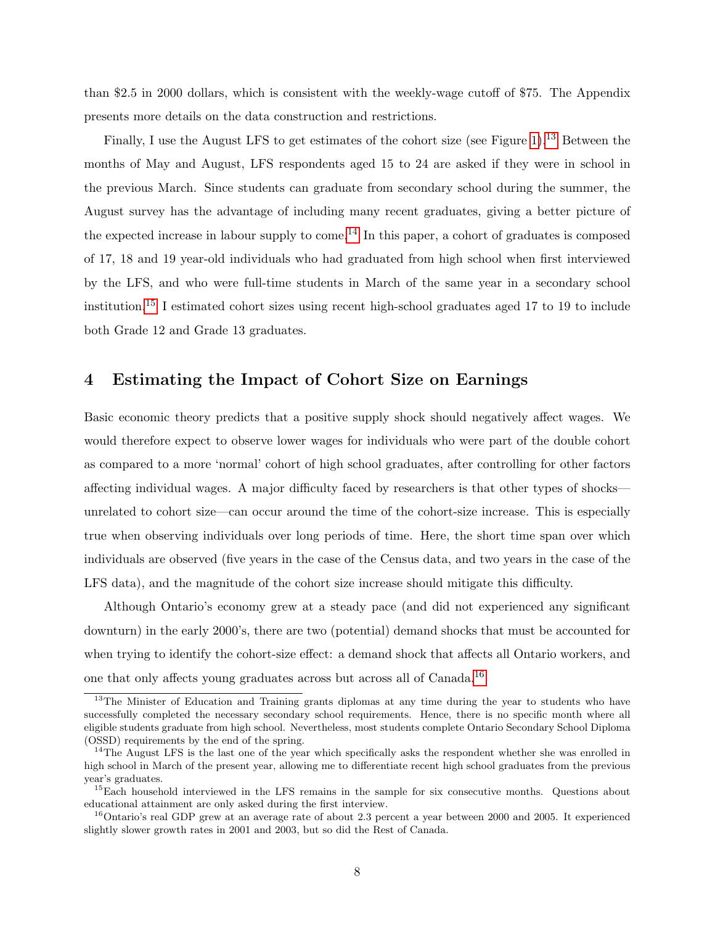than \$2.5 in 2000 dollars, which is consistent with the weekly-wage cutoff of \$75. The Appendix presents more details on the data construction and restrictions.

Finally, I use the August LFS to get estimates of the cohort size (see Figure [1\)](#page-4-0).<sup>[13](#page-7-1)</sup> Between the months of May and August, LFS respondents aged 15 to 24 are asked if they were in school in the previous March. Since students can graduate from secondary school during the summer, the August survey has the advantage of including many recent graduates, giving a better picture of the expected increase in labour supply to come.<sup>[14](#page-7-2)</sup> In this paper, a cohort of graduates is composed of 17, 18 and 19 year-old individuals who had graduated from high school when first interviewed by the LFS, and who were full-time students in March of the same year in a secondary school institution.[15](#page-7-3) I estimated cohort sizes using recent high-school graduates aged 17 to 19 to include both Grade 12 and Grade 13 graduates.

## <span id="page-7-0"></span>4 Estimating the Impact of Cohort Size on Earnings

Basic economic theory predicts that a positive supply shock should negatively affect wages. We would therefore expect to observe lower wages for individuals who were part of the double cohort as compared to a more 'normal' cohort of high school graduates, after controlling for other factors affecting individual wages. A major difficulty faced by researchers is that other types of shocks unrelated to cohort size—can occur around the time of the cohort-size increase. This is especially true when observing individuals over long periods of time. Here, the short time span over which individuals are observed (five years in the case of the Census data, and two years in the case of the LFS data), and the magnitude of the cohort size increase should mitigate this difficulty.

Although Ontario's economy grew at a steady pace (and did not experienced any significant downturn) in the early 2000's, there are two (potential) demand shocks that must be accounted for when trying to identify the cohort-size effect: a demand shock that affects all Ontario workers, and one that only affects young graduates across but across all of Canada.[16](#page-7-4)

<span id="page-7-1"></span><sup>&</sup>lt;sup>13</sup>The Minister of Education and Training grants diplomas at any time during the year to students who have successfully completed the necessary secondary school requirements. Hence, there is no specific month where all eligible students graduate from high school. Nevertheless, most students complete Ontario Secondary School Diploma (OSSD) requirements by the end of the spring.

<span id="page-7-2"></span><sup>&</sup>lt;sup>14</sup>The August LFS is the last one of the year which specifically asks the respondent whether she was enrolled in high school in March of the present year, allowing me to differentiate recent high school graduates from the previous year's graduates.

<span id="page-7-3"></span><sup>&</sup>lt;sup>15</sup>Each household interviewed in the LFS remains in the sample for six consecutive months. Questions about educational attainment are only asked during the first interview.

<span id="page-7-4"></span><sup>&</sup>lt;sup>16</sup>Ontario's real GDP grew at an average rate of about 2.3 percent a year between 2000 and 2005. It experienced slightly slower growth rates in 2001 and 2003, but so did the Rest of Canada.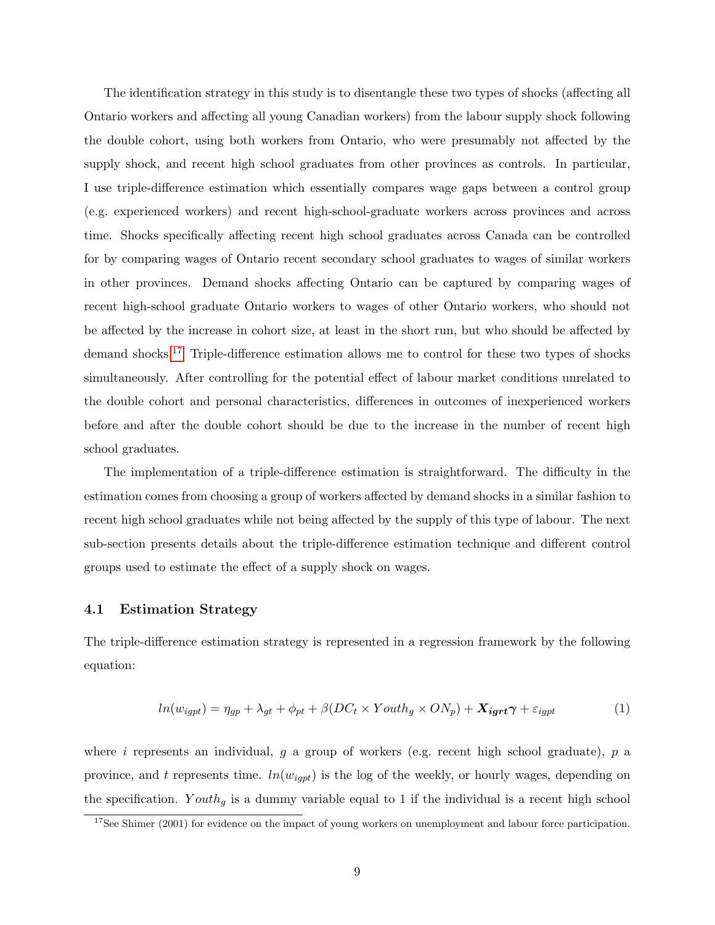The identification strategy in this study is to disentangle these two types of shocks (affecting all Ontario workers and affecting all young Canadian workers) from the labour supply shock following the double cohort, using both workers from Ontario, who were presumably not affected by the supply shock, and recent high school graduates from other provinces as controls. In particular, I use triple-difference estimation which essentially compares wage gaps between a control group (e.g. experienced workers) and recent high-school-graduate workers across provinces and across time. Shocks specifically affecting recent high school graduates across Canada can be controlled for by comparing wages of Ontario recent secondary school graduates to wages of similar workers in other provinces. Demand shocks affecting Ontario can be captured by comparing wages of recent high-school graduate Ontario workers to wages of other Ontario workers, who should not be affected by the increase in cohort size, at least in the short run, but who should be affected by demand shocks.[17](#page-8-0) Triple-difference estimation allows me to control for these two types of shocks simultaneously. After controlling for the potential effect of labour market conditions unrelated to the double cohort and personal characteristics, differences in outcomes of inexperienced workers before and after the double cohort should be due to the increase in the number of recent high school graduates.

The implementation of a triple-difference estimation is straightforward. The difficulty in the estimation comes from choosing a group of workers affected by demand shocks in a similar fashion to recent high school graduates while not being affected by the supply of this type of labour. The next sub-section presents details about the triple-difference estimation technique and different control groups used to estimate the effect of a supply shock on wages.

### 4.1 Estimation Strategy

The triple-difference estimation strategy is represented in a regression framework by the following equation:

<span id="page-8-1"></span>
$$
ln(w_{igpt}) = \eta_{gp} + \lambda_{gt} + \phi_{pt} + \beta (DC_t \times Youth_g \times ON_p) + \mathbf{X}_{igrt} \gamma + \varepsilon_{igpt}
$$
 (1)

where i represents an individual, g a group of workers (e.g. recent high school graduate),  $p$  a province, and t represents time.  $ln(w_{igpt})$  is the log of the weekly, or hourly wages, depending on the specification. Youth<sub>q</sub> is a dummy variable equal to 1 if the individual is a recent high school

<span id="page-8-0"></span> $17$ See Shimer (2001) for evidence on the impact of young workers on unemployment and labour force participation.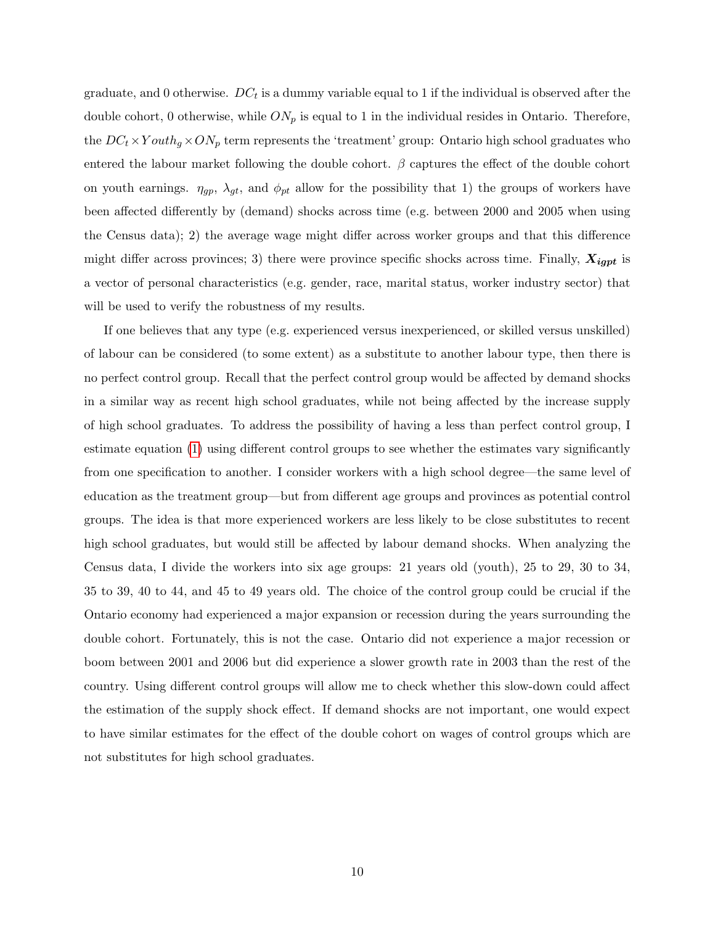graduate, and 0 otherwise.  $DC_t$  is a dummy variable equal to 1 if the individual is observed after the double cohort, 0 otherwise, while  $ON_p$  is equal to 1 in the individual resides in Ontario. Therefore, the  $DC_t \times Youth_g \times ON_p$  term represents the 'treatment' group: Ontario high school graduates who entered the labour market following the double cohort.  $\beta$  captures the effect of the double cohort on youth earnings.  $\eta_{gp}$ ,  $\lambda_{gt}$ , and  $\phi_{pt}$  allow for the possibility that 1) the groups of workers have been affected differently by (demand) shocks across time (e.g. between 2000 and 2005 when using the Census data); 2) the average wage might differ across worker groups and that this difference might differ across provinces; 3) there were province specific shocks across time. Finally,  $X_{igpt}$  is a vector of personal characteristics (e.g. gender, race, marital status, worker industry sector) that will be used to verify the robustness of my results.

If one believes that any type (e.g. experienced versus inexperienced, or skilled versus unskilled) of labour can be considered (to some extent) as a substitute to another labour type, then there is no perfect control group. Recall that the perfect control group would be affected by demand shocks in a similar way as recent high school graduates, while not being affected by the increase supply of high school graduates. To address the possibility of having a less than perfect control group, I estimate equation [\(1\)](#page-8-1) using different control groups to see whether the estimates vary significantly from one specification to another. I consider workers with a high school degree—the same level of education as the treatment group—but from different age groups and provinces as potential control groups. The idea is that more experienced workers are less likely to be close substitutes to recent high school graduates, but would still be affected by labour demand shocks. When analyzing the Census data, I divide the workers into six age groups: 21 years old (youth), 25 to 29, 30 to 34, 35 to 39, 40 to 44, and 45 to 49 years old. The choice of the control group could be crucial if the Ontario economy had experienced a major expansion or recession during the years surrounding the double cohort. Fortunately, this is not the case. Ontario did not experience a major recession or boom between 2001 and 2006 but did experience a slower growth rate in 2003 than the rest of the country. Using different control groups will allow me to check whether this slow-down could affect the estimation of the supply shock effect. If demand shocks are not important, one would expect to have similar estimates for the effect of the double cohort on wages of control groups which are not substitutes for high school graduates.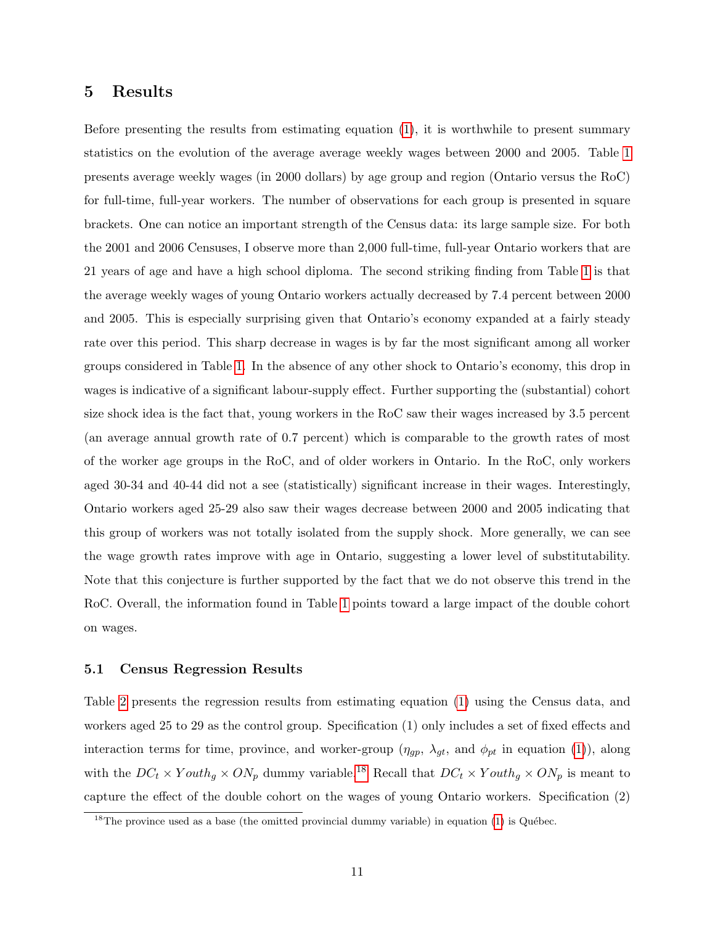### <span id="page-10-0"></span>5 Results

Before presenting the results from estimating equation [\(1\)](#page-8-1), it is worthwhile to present summary statistics on the evolution of the average average weekly wages between 2000 and 2005. Table [1](#page-11-0) presents average weekly wages (in 2000 dollars) by age group and region (Ontario versus the RoC) for full-time, full-year workers. The number of observations for each group is presented in square brackets. One can notice an important strength of the Census data: its large sample size. For both the 2001 and 2006 Censuses, I observe more than 2,000 full-time, full-year Ontario workers that are 21 years of age and have a high school diploma. The second striking finding from Table [1](#page-11-0) is that the average weekly wages of young Ontario workers actually decreased by 7.4 percent between 2000 and 2005. This is especially surprising given that Ontario's economy expanded at a fairly steady rate over this period. This sharp decrease in wages is by far the most significant among all worker groups considered in Table [1.](#page-11-0) In the absence of any other shock to Ontario's economy, this drop in wages is indicative of a significant labour-supply effect. Further supporting the (substantial) cohort size shock idea is the fact that, young workers in the RoC saw their wages increased by 3.5 percent (an average annual growth rate of 0.7 percent) which is comparable to the growth rates of most of the worker age groups in the RoC, and of older workers in Ontario. In the RoC, only workers aged 30-34 and 40-44 did not a see (statistically) significant increase in their wages. Interestingly, Ontario workers aged 25-29 also saw their wages decrease between 2000 and 2005 indicating that this group of workers was not totally isolated from the supply shock. More generally, we can see the wage growth rates improve with age in Ontario, suggesting a lower level of substitutability. Note that this conjecture is further supported by the fact that we do not observe this trend in the RoC. Overall, the information found in Table [1](#page-11-0) points toward a large impact of the double cohort on wages.

### 5.1 Census Regression Results

Table [2](#page-12-0) presents the regression results from estimating equation [\(1\)](#page-8-1) using the Census data, and workers aged 25 to 29 as the control group. Specification (1) only includes a set of fixed effects and interaction terms for time, province, and worker-group  $(\eta_{gp}, \lambda_{gt}, \text{ and } \phi_{pt}$  in equation [\(1\)](#page-8-1)), along with the  $DC_t \times Youth_g \times ON_p$  dummy variable.<sup>[18](#page-10-1)</sup> Recall that  $DC_t \times Youth_g \times ON_p$  is meant to capture the effect of the double cohort on the wages of young Ontario workers. Specification (2)

<span id="page-10-1"></span><sup>&</sup>lt;sup>18</sup>The province used as a base (the omitted provincial dummy variable) in equation [\(1\)](#page-8-1) is Québec.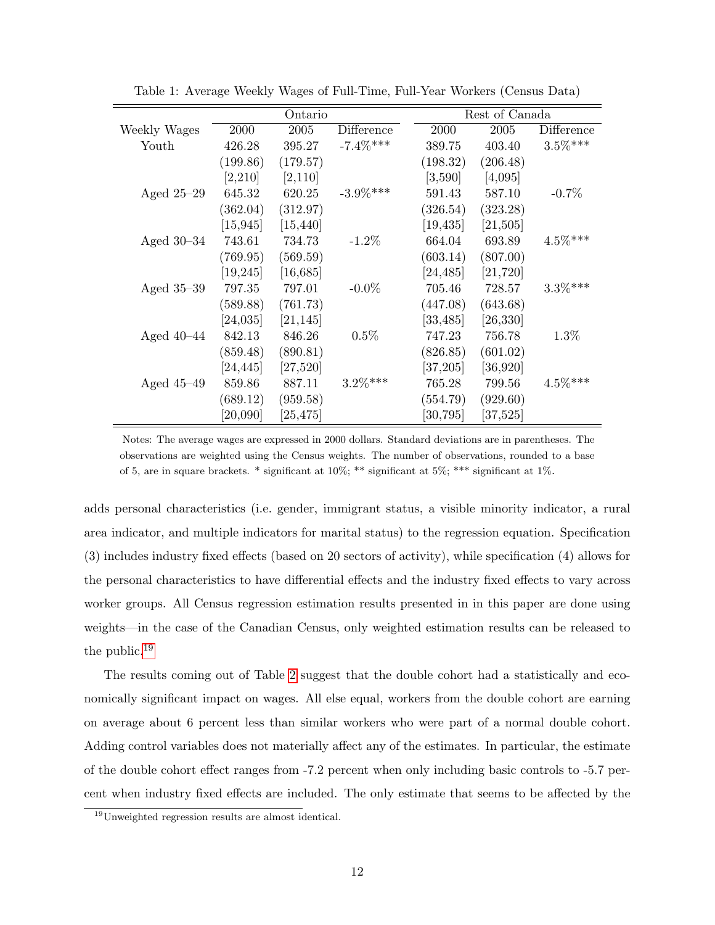|              | Ontario                 |                          |             | Rest of Canada        |                         |            |  |
|--------------|-------------------------|--------------------------|-------------|-----------------------|-------------------------|------------|--|
| Weekly Wages | 2000                    | 2005                     | Difference  | 2000                  | 2005                    | Difference |  |
| Youth        | 426.28                  | 395.27                   | $-7.4\%***$ | 389.75                | 403.40                  | $3.5\%***$ |  |
|              | (199.86)                | (179.57)                 |             | (198.32)              | (206.48)                |            |  |
|              | [2,210]                 | [2,110]                  |             | [3,590]               | [4,095]                 |            |  |
| Aged $25-29$ | 645.32                  | 620.25                   | $-3.9\%***$ | 591.43                | 587.10                  | $-0.7\%$   |  |
|              | (362.04)                | (312.97)                 |             | (326.54)              | (323.28)                |            |  |
|              | $\left[15,945\right]$   | [15, 440]                |             | [19, 435]             | [21,505]                |            |  |
| Aged $30-34$ | 743.61                  | 734.73                   | $-1.2\%$    | 664.04                | 693.89                  | $4.5\%***$ |  |
|              | (769.95)                | (569.59)                 |             | (603.14)              | (807.00)                |            |  |
|              | $\left[19,\!245\right]$ | $[16,685]$               |             | [24, 485]             | $[21,\!720]$            |            |  |
| Aged $35-39$ | 797.35                  | 797.01                   | $-0.0\%$    | 705.46                | 728.57                  | $3.3\%***$ |  |
|              | (589.88)                | (761.73)                 |             | (447.08)              | (643.68)                |            |  |
|              | $\left[24{,}035\right]$ | [21, 145]                |             | $\left[33,485\right]$ | $\left[26,\!330\right]$ |            |  |
| Aged $40-44$ | 842.13                  | 846.26                   | $0.5\%$     | 747.23                | 756.78                  | $1.3\%$    |  |
|              | (859.48)                | (890.81)                 |             | (826.85)              | (601.02)                |            |  |
|              | [24, 445]               | [27,520]                 |             | [37,205]              | [36,920]                |            |  |
| Aged $45-49$ | 859.86                  | 887.11                   | $3.2\%***$  | 765.28                | 799.56                  | $4.5\%***$ |  |
|              | (689.12)                | (959.58)                 |             | (554.79)              | (929.60)                |            |  |
|              | [20,090]                | $\left[ 25,\!475\right]$ |             | $\left[30,795\right]$ | [37,525]                |            |  |

<span id="page-11-0"></span>Table 1: Average Weekly Wages of Full-Time, Full-Year Workers (Census Data)

Notes: The average wages are expressed in 2000 dollars. Standard deviations are in parentheses. The observations are weighted using the Census weights. The number of observations, rounded to a base of 5, are in square brackets. \* significant at  $10\%$ ; \*\* significant at  $5\%$ ; \*\*\* significant at  $1\%$ .

adds personal characteristics (i.e. gender, immigrant status, a visible minority indicator, a rural area indicator, and multiple indicators for marital status) to the regression equation. Specification (3) includes industry fixed effects (based on 20 sectors of activity), while specification (4) allows for the personal characteristics to have differential effects and the industry fixed effects to vary across worker groups. All Census regression estimation results presented in in this paper are done using weights—in the case of the Canadian Census, only weighted estimation results can be released to the public.[19](#page-11-1)

The results coming out of Table [2](#page-12-0) suggest that the double cohort had a statistically and economically significant impact on wages. All else equal, workers from the double cohort are earning on average about 6 percent less than similar workers who were part of a normal double cohort. Adding control variables does not materially affect any of the estimates. In particular, the estimate of the double cohort effect ranges from -7.2 percent when only including basic controls to -5.7 percent when industry fixed effects are included. The only estimate that seems to be affected by the

<span id="page-11-1"></span><sup>19</sup>Unweighted regression results are almost identical.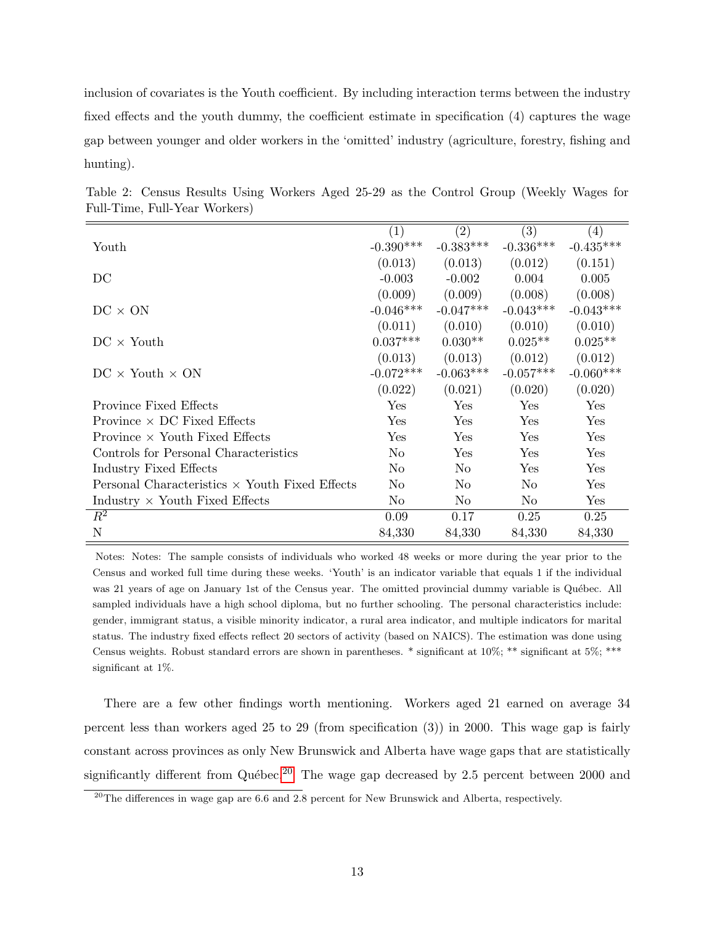inclusion of covariates is the Youth coefficient. By including interaction terms between the industry fixed effects and the youth dummy, the coefficient estimate in specification (4) captures the wage gap between younger and older workers in the 'omitted' industry (agriculture, forestry, fishing and hunting).

|                                                       | (1)            | (2)            | (3)            | (4)         |
|-------------------------------------------------------|----------------|----------------|----------------|-------------|
| Youth                                                 | $-0.390***$    | $-0.383***$    | $-0.336***$    | $-0.435***$ |
|                                                       | (0.013)        | (0.013)        | (0.012)        | (0.151)     |
| DC                                                    | $-0.003$       | $-0.002$       | 0.004          | 0.005       |
|                                                       | (0.009)        | (0.009)        | (0.008)        | (0.008)     |
| $DC \times ON$                                        | $-0.046***$    | $-0.047***$    | $-0.043***$    | $-0.043***$ |
|                                                       | (0.011)        | (0.010)        | (0.010)        | (0.010)     |
| $DC \times$ Youth                                     | $0.037***$     | $0.030**$      | $0.025**$      | $0.025**$   |
|                                                       | (0.013)        | (0.013)        | (0.012)        | (0.012)     |
| $DC \times$ Youth $\times$ ON                         | $-0.072***$    | $-0.063***$    | $-0.057***$    | $-0.060***$ |
|                                                       | (0.022)        | (0.021)        | (0.020)        | (0.020)     |
| Province Fixed Effects                                | Yes            | Yes            | Yes            | Yes         |
| Province $\times$ DC Fixed Effects                    | Yes            | Yes            | Yes            | Yes         |
| Province $\times$ Youth Fixed Effects                 | Yes            | Yes            | Yes            | Yes         |
| Controls for Personal Characteristics                 | N <sub>o</sub> | Yes            | Yes            | Yes         |
| Industry Fixed Effects                                | N <sub>o</sub> | No             | Yes            | Yes         |
| Personal Characteristics $\times$ Youth Fixed Effects | N <sub>o</sub> | No             | No             | Yes         |
| Industry $\times$ Youth Fixed Effects                 | N <sub>0</sub> | N <sub>o</sub> | N <sub>o</sub> | Yes         |
| $R^2$                                                 | 0.09           | 0.17           | 0.25           | 0.25        |
| N                                                     | 84,330         | 84,330         | 84,330         | 84,330      |

<span id="page-12-0"></span>Table 2: Census Results Using Workers Aged 25-29 as the Control Group (Weekly Wages for Full-Time, Full-Year Workers)

Notes: Notes: The sample consists of individuals who worked 48 weeks or more during the year prior to the Census and worked full time during these weeks. 'Youth' is an indicator variable that equals 1 if the individual was 21 years of age on January 1st of the Census year. The omitted provincial dummy variable is Québec. All sampled individuals have a high school diploma, but no further schooling. The personal characteristics include: gender, immigrant status, a visible minority indicator, a rural area indicator, and multiple indicators for marital status. The industry fixed effects reflect 20 sectors of activity (based on NAICS). The estimation was done using Census weights. Robust standard errors are shown in parentheses. \* significant at 10%; \*\* significant at 5%; \*\*\* significant at 1%.

There are a few other findings worth mentioning. Workers aged 21 earned on average 34 percent less than workers aged 25 to 29 (from specification (3)) in 2000. This wage gap is fairly constant across provinces as only New Brunswick and Alberta have wage gaps that are statistically significantly different from Québec.<sup>[20](#page-12-1)</sup> The wage gap decreased by 2.5 percent between 2000 and

<span id="page-12-1"></span><sup>&</sup>lt;sup>20</sup>The differences in wage gap are 6.6 and 2.8 percent for New Brunswick and Alberta, respectively.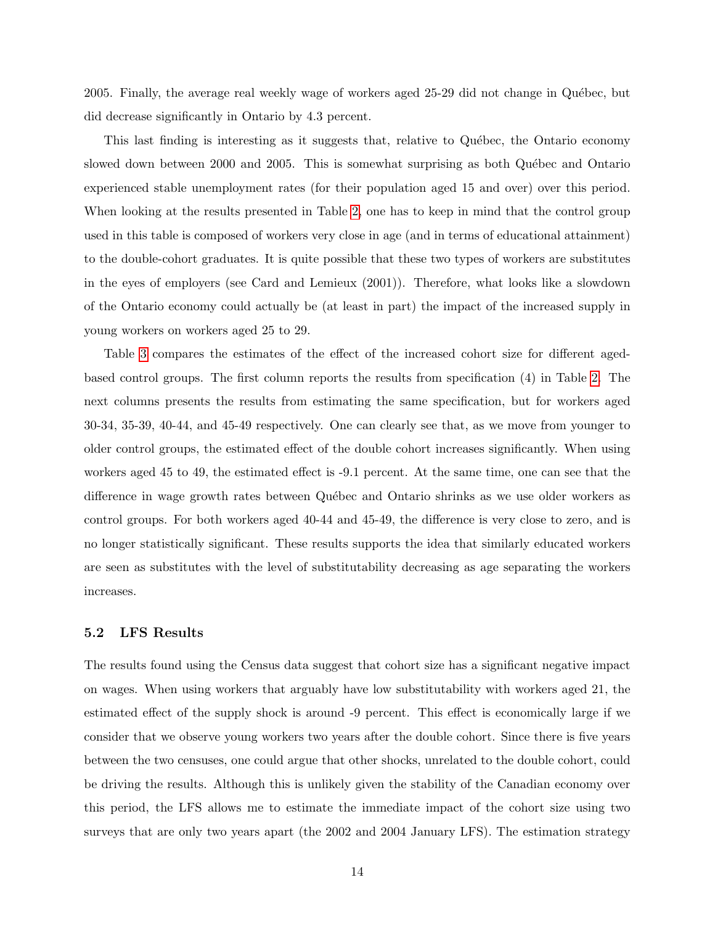2005. Finally, the average real weekly wage of workers aged 25-29 did not change in Québec, but did decrease significantly in Ontario by 4.3 percent.

This last finding is interesting as it suggests that, relative to Québec, the Ontario economy slowed down between 2000 and 2005. This is somewhat surprising as both Québec and Ontario experienced stable unemployment rates (for their population aged 15 and over) over this period. When looking at the results presented in Table [2,](#page-12-0) one has to keep in mind that the control group used in this table is composed of workers very close in age (and in terms of educational attainment) to the double-cohort graduates. It is quite possible that these two types of workers are substitutes in the eyes of employers (see Card and Lemieux (2001)). Therefore, what looks like a slowdown of the Ontario economy could actually be (at least in part) the impact of the increased supply in young workers on workers aged 25 to 29.

Table [3](#page-14-0) compares the estimates of the effect of the increased cohort size for different agedbased control groups. The first column reports the results from specification (4) in Table [2.](#page-12-0) The next columns presents the results from estimating the same specification, but for workers aged 30-34, 35-39, 40-44, and 45-49 respectively. One can clearly see that, as we move from younger to older control groups, the estimated effect of the double cohort increases significantly. When using workers aged 45 to 49, the estimated effect is -9.1 percent. At the same time, one can see that the difference in wage growth rates between Québec and Ontario shrinks as we use older workers as control groups. For both workers aged 40-44 and 45-49, the difference is very close to zero, and is no longer statistically significant. These results supports the idea that similarly educated workers are seen as substitutes with the level of substitutability decreasing as age separating the workers increases.

### 5.2 LFS Results

The results found using the Census data suggest that cohort size has a significant negative impact on wages. When using workers that arguably have low substitutability with workers aged 21, the estimated effect of the supply shock is around -9 percent. This effect is economically large if we consider that we observe young workers two years after the double cohort. Since there is five years between the two censuses, one could argue that other shocks, unrelated to the double cohort, could be driving the results. Although this is unlikely given the stability of the Canadian economy over this period, the LFS allows me to estimate the immediate impact of the cohort size using two surveys that are only two years apart (the 2002 and 2004 January LFS). The estimation strategy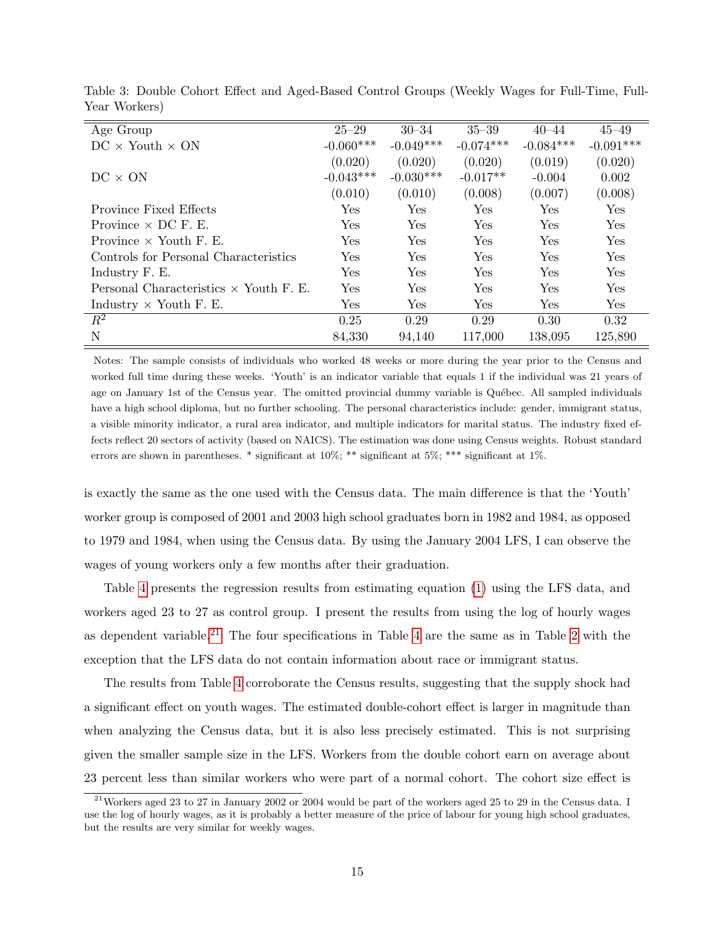| Age Group                                     | $25 - 29$   | $30 - 34$   | $35 - 39$   | $40 - 44$            | $45 - 49$   |
|-----------------------------------------------|-------------|-------------|-------------|----------------------|-------------|
| $DC \times$ Youth $\times$ ON                 | $-0.060***$ | $-0.049***$ | $-0.074***$ | $-0.084***$          | $-0.091***$ |
|                                               | (0.020)     | (0.020)     | (0.020)     | (0.019)              | (0.020)     |
| $DC \times ON$                                | $-0.043***$ | $-0.030***$ | $-0.017**$  | $-0.004$             | 0.002       |
|                                               | (0.010)     | (0.010)     | (0.008)     | (0.007)              | (0.008)     |
| Province Fixed Effects                        | Yes         | Yes         | Yes         | Yes                  | Yes         |
| Province $\times$ DC F. E.                    | Yes         | Yes         | Yes         | $\operatorname{Yes}$ | Yes         |
| Province $\times$ Youth F. E.                 | Yes.        | Yes         | Yes         | Yes                  | <b>Yes</b>  |
| Controls for Personal Characteristics         | Yes         | Yes         | <b>Yes</b>  | Yes                  | Yes         |
| Industry F. E.                                | Yes         | Yes         | Yes         | Yes                  | Yes         |
| Personal Characteristics $\times$ Youth F. E. | Yes         | Yes         | Yes         | Yes                  | Yes         |
| Industry $\times$ Youth F. E.                 | Yes         | Yes         | Yes         | Yes                  | Yes         |
| $R^2$                                         | 0.25        | 0.29        | 0.29        | 0.30                 | 0.32        |
| N                                             | 84,330      | 94,140      | 117,000     | 138,095              | 125,890     |

<span id="page-14-0"></span>Table 3: Double Cohort Effect and Aged-Based Control Groups (Weekly Wages for Full-Time, Full-Year Workers)

Notes: The sample consists of individuals who worked 48 weeks or more during the year prior to the Census and worked full time during these weeks. 'Youth' is an indicator variable that equals 1 if the individual was 21 years of age on January 1st of the Census year. The omitted provincial dummy variable is Québec. All sampled individuals have a high school diploma, but no further schooling. The personal characteristics include: gender, immigrant status, a visible minority indicator, a rural area indicator, and multiple indicators for marital status. The industry fixed effects reflect 20 sectors of activity (based on NAICS). The estimation was done using Census weights. Robust standard errors are shown in parentheses. \* significant at 10%; \*\* significant at 5%; \*\*\* significant at 1%.

is exactly the same as the one used with the Census data. The main difference is that the 'Youth' worker group is composed of 2001 and 2003 high school graduates born in 1982 and 1984, as opposed to 1979 and 1984, when using the Census data. By using the January 2004 LFS, I can observe the wages of young workers only a few months after their graduation.

Table [4](#page-15-0) presents the regression results from estimating equation [\(1\)](#page-8-1) using the LFS data, and workers aged 23 to 27 as control group. I present the results from using the log of hourly wages as dependent variable.<sup>[21](#page-14-1)</sup> The four specifications in Table [4](#page-15-0) are the same as in Table [2](#page-12-0) with the exception that the LFS data do not contain information about race or immigrant status.

The results from Table [4](#page-15-0) corroborate the Census results, suggesting that the supply shock had a significant effect on youth wages. The estimated double-cohort effect is larger in magnitude than when analyzing the Census data, but it is also less precisely estimated. This is not surprising given the smaller sample size in the LFS. Workers from the double cohort earn on average about 23 percent less than similar workers who were part of a normal cohort. The cohort size effect is

<span id="page-14-1"></span><sup>&</sup>lt;sup>21</sup>Workers aged 23 to 27 in January 2002 or 2004 would be part of the workers aged 25 to 29 in the Census data. I use the log of hourly wages, as it is probably a better measure of the price of labour for young high school graduates, but the results are very similar for weekly wages.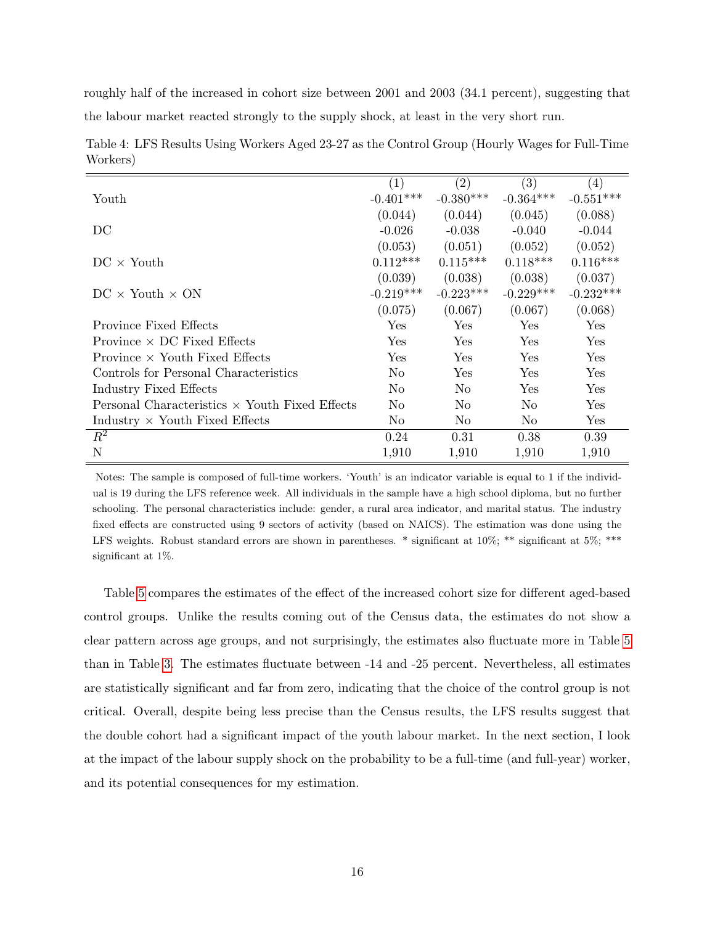roughly half of the increased in cohort size between 2001 and 2003 (34.1 percent), suggesting that the labour market reacted strongly to the supply shock, at least in the very short run.

|                                                       | (1)            | (2)            | (3)            | (4)                  |
|-------------------------------------------------------|----------------|----------------|----------------|----------------------|
| Youth                                                 | $-0.401***$    | $-0.380***$    | $-0.364***$    | $-0.551***$          |
|                                                       | (0.044)        | (0.044)        | (0.045)        | (0.088)              |
| DC                                                    | $-0.026$       | $-0.038$       | $-0.040$       | $-0.044$             |
|                                                       | (0.053)        | (0.051)        | (0.052)        | (0.052)              |
| $DC \times$ Youth                                     | $0.112***$     | $0.115***$     | $0.118***$     | $0.116***$           |
|                                                       | (0.039)        | (0.038)        | (0.038)        | (0.037)              |
| $DC \times$ Youth $\times$ ON                         | $-0.219***$    | $-0.223***$    | $-0.229***$    | $-0.232***$          |
|                                                       | (0.075)        | (0.067)        | (0.067)        | (0.068)              |
| Province Fixed Effects                                | Yes            | Yes            | Yes            | Yes                  |
| Province $\times$ DC Fixed Effects                    | <b>Yes</b>     | Yes            | Yes            | $\operatorname{Yes}$ |
| Province $\times$ Youth Fixed Effects                 | <b>Yes</b>     | Yes            | <b>Yes</b>     | $\operatorname{Yes}$ |
| Controls for Personal Characteristics                 | No             | Yes            | <b>Yes</b>     | Yes                  |
| Industry Fixed Effects                                | No             | No             | Yes            | Yes                  |
| Personal Characteristics $\times$ Youth Fixed Effects | No             | No             | No             | Yes                  |
| Industry $\times$ Youth Fixed Effects                 | N <sub>o</sub> | N <sub>o</sub> | N <sub>o</sub> | $\operatorname{Yes}$ |
| $R^2$                                                 | 0.24           | 0.31           | 0.38           | 0.39                 |
| N                                                     | 1,910          | 1,910          | 1,910          | 1,910                |

<span id="page-15-0"></span>Table 4: LFS Results Using Workers Aged 23-27 as the Control Group (Hourly Wages for Full-Time Workers)

Notes: The sample is composed of full-time workers. 'Youth' is an indicator variable is equal to 1 if the individual is 19 during the LFS reference week. All individuals in the sample have a high school diploma, but no further schooling. The personal characteristics include: gender, a rural area indicator, and marital status. The industry fixed effects are constructed using 9 sectors of activity (based on NAICS). The estimation was done using the LFS weights. Robust standard errors are shown in parentheses. \* significant at 10%; \*\* significant at 5%; \*\*\* significant at 1%.

Table [5](#page-16-1) compares the estimates of the effect of the increased cohort size for different aged-based control groups. Unlike the results coming out of the Census data, the estimates do not show a clear pattern across age groups, and not surprisingly, the estimates also fluctuate more in Table [5](#page-16-1) than in Table [3.](#page-14-0) The estimates fluctuate between -14 and -25 percent. Nevertheless, all estimates are statistically significant and far from zero, indicating that the choice of the control group is not critical. Overall, despite being less precise than the Census results, the LFS results suggest that the double cohort had a significant impact of the youth labour market. In the next section, I look at the impact of the labour supply shock on the probability to be a full-time (and full-year) worker, and its potential consequences for my estimation.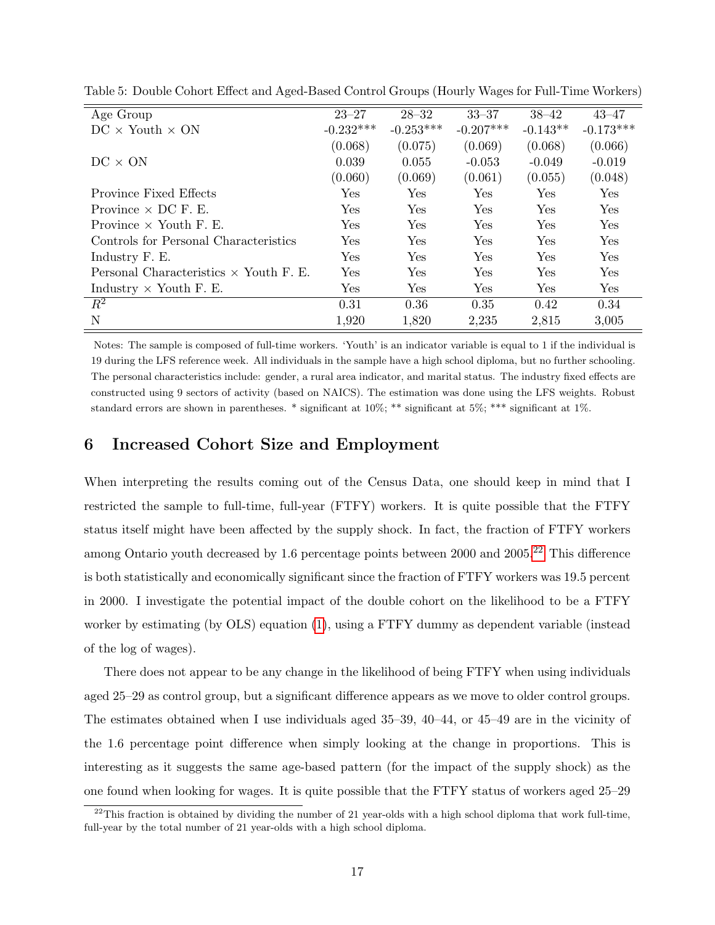| Age Group                                     | $23 - 27$   | $28 - 32$   | $33 - 37$   | $38 - 42$  | $43 - 47$   |
|-----------------------------------------------|-------------|-------------|-------------|------------|-------------|
| $DC \times$ Youth $\times ON$                 | $-0.232***$ | $-0.253***$ | $-0.207***$ | $-0.143**$ | $-0.173***$ |
|                                               | (0.068)     | (0.075)     | (0.069)     | (0.068)    | (0.066)     |
| $DC \times ON$                                | 0.039       | 0.055       | $-0.053$    | $-0.049$   | $-0.019$    |
|                                               | (0.060)     | (0.069)     | (0.061)     | (0.055)    | (0.048)     |
| Province Fixed Effects                        | Yes         | <b>Yes</b>  | Yes         | Yes        | Yes         |
| Province $\times$ DC F. E.                    | Yes         | <b>Yes</b>  | Yes         | Yes        | Yes         |
| Province $\times$ Youth F. E.                 | Yes         | Yes         | Yes         | Yes        | Yes         |
| Controls for Personal Characteristics         | Yes         | <b>Yes</b>  | Yes         | Yes        | <b>Yes</b>  |
| Industry F. E.                                | Yes         | Yes         | Yes         | Yes        | Yes         |
| Personal Characteristics $\times$ Youth F. E. | Yes         | Yes         | Yes         | Yes        | Yes         |
| Industry $\times$ Youth F. E.                 | Yes         | Yes         | Yes         | Yes        | Yes         |
| $R^2$                                         | 0.31        | 0.36        | 0.35        | 0.42       | 0.34        |
| N                                             | 1,920       | 1,820       | 2,235       | 2,815      | 3,005       |

<span id="page-16-1"></span>Table 5: Double Cohort Effect and Aged-Based Control Groups (Hourly Wages for Full-Time Workers)

Notes: The sample is composed of full-time workers. 'Youth' is an indicator variable is equal to 1 if the individual is 19 during the LFS reference week. All individuals in the sample have a high school diploma, but no further schooling. The personal characteristics include: gender, a rural area indicator, and marital status. The industry fixed effects are constructed using 9 sectors of activity (based on NAICS). The estimation was done using the LFS weights. Robust standard errors are shown in parentheses. \* significant at 10%; \*\* significant at 5%; \*\*\* significant at 1%.

### <span id="page-16-0"></span>6 Increased Cohort Size and Employment

When interpreting the results coming out of the Census Data, one should keep in mind that I restricted the sample to full-time, full-year (FTFY) workers. It is quite possible that the FTFY status itself might have been affected by the supply shock. In fact, the fraction of FTFY workers among Ontario youth decreased by 1.6 percentage points between 2000 and 2005.<sup>[22](#page-16-2)</sup> This difference is both statistically and economically significant since the fraction of FTFY workers was 19.5 percent in 2000. I investigate the potential impact of the double cohort on the likelihood to be a FTFY worker by estimating (by OLS) equation [\(1\)](#page-8-1), using a FTFY dummy as dependent variable (instead of the log of wages).

There does not appear to be any change in the likelihood of being FTFY when using individuals aged 25–29 as control group, but a significant difference appears as we move to older control groups. The estimates obtained when I use individuals aged 35–39, 40–44, or 45–49 are in the vicinity of the 1.6 percentage point difference when simply looking at the change in proportions. This is interesting as it suggests the same age-based pattern (for the impact of the supply shock) as the one found when looking for wages. It is quite possible that the FTFY status of workers aged 25–29

<span id="page-16-2"></span> $^{22}$ This fraction is obtained by dividing the number of 21 year-olds with a high school diploma that work full-time, full-year by the total number of 21 year-olds with a high school diploma.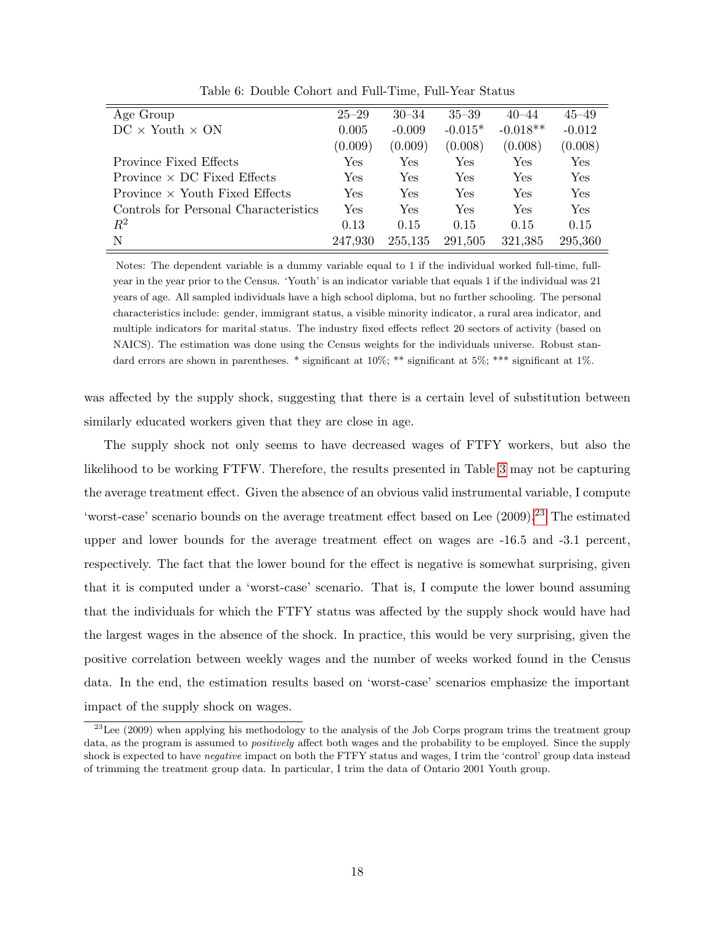| Age Group                             | $25 - 29$  | $30 - 34$ | $35 - 39$ | $40 - 44$  | $45 - 49$ |
|---------------------------------------|------------|-----------|-----------|------------|-----------|
| $DC \times$ Youth $\times$ ON         | 0.005      | $-0.009$  | $-0.015*$ | $-0.018**$ | $-0.012$  |
|                                       | (0.009)    | (0.009)   | (0.008)   | (0.008)    | (0.008)   |
| <b>Province Fixed Effects</b>         | Yes        | Yes       | Yes       | Yes        | Yes       |
| Province $\times$ DC Fixed Effects    | <b>Yes</b> | Yes       | Yes       | Yes        | Yes       |
| Province $\times$ Youth Fixed Effects | Yes        | Yes       | Yes       | Yes        | Yes       |
| Controls for Personal Characteristics | Yes        | Yes       | Yes       | Yes        | Yes       |
| $R^2$                                 | 0.13       | 0.15      | 0.15      | 0.15       | 0.15      |
| N                                     | 247,930    | 255,135   | 291,505   | 321,385    | 295,360   |

Table 6: Double Cohort and Full-Time, Full-Year Status

Notes: The dependent variable is a dummy variable equal to 1 if the individual worked full-time, fullyear in the year prior to the Census. 'Youth' is an indicator variable that equals 1 if the individual was 21 years of age. All sampled individuals have a high school diploma, but no further schooling. The personal characteristics include: gender, immigrant status, a visible minority indicator, a rural area indicator, and multiple indicators for marital status. The industry fixed effects reflect 20 sectors of activity (based on NAICS). The estimation was done using the Census weights for the individuals universe. Robust standard errors are shown in parentheses. \* significant at  $10\%$ ; \*\* significant at  $5\%$ ; \*\*\* significant at  $1\%$ .

was affected by the supply shock, suggesting that there is a certain level of substitution between similarly educated workers given that they are close in age.

The supply shock not only seems to have decreased wages of FTFY workers, but also the likelihood to be working FTFW. Therefore, the results presented in Table [3](#page-14-0) may not be capturing the average treatment effect. Given the absence of an obvious valid instrumental variable, I compute 'worst-case' scenario bounds on the average treatment effect based on Lee  $(2009)$ <sup>[23](#page-17-0)</sup>. The estimated upper and lower bounds for the average treatment effect on wages are -16.5 and -3.1 percent, respectively. The fact that the lower bound for the effect is negative is somewhat surprising, given that it is computed under a 'worst-case' scenario. That is, I compute the lower bound assuming that the individuals for which the FTFY status was affected by the supply shock would have had the largest wages in the absence of the shock. In practice, this would be very surprising, given the positive correlation between weekly wages and the number of weeks worked found in the Census data. In the end, the estimation results based on 'worst-case' scenarios emphasize the important impact of the supply shock on wages.

<span id="page-17-0"></span> $^{23}$ Lee (2009) when applying his methodology to the analysis of the Job Corps program trims the treatment group data, as the program is assumed to positively affect both wages and the probability to be employed. Since the supply shock is expected to have *negative* impact on both the FTFY status and wages, I trim the 'control' group data instead of trimming the treatment group data. In particular, I trim the data of Ontario 2001 Youth group.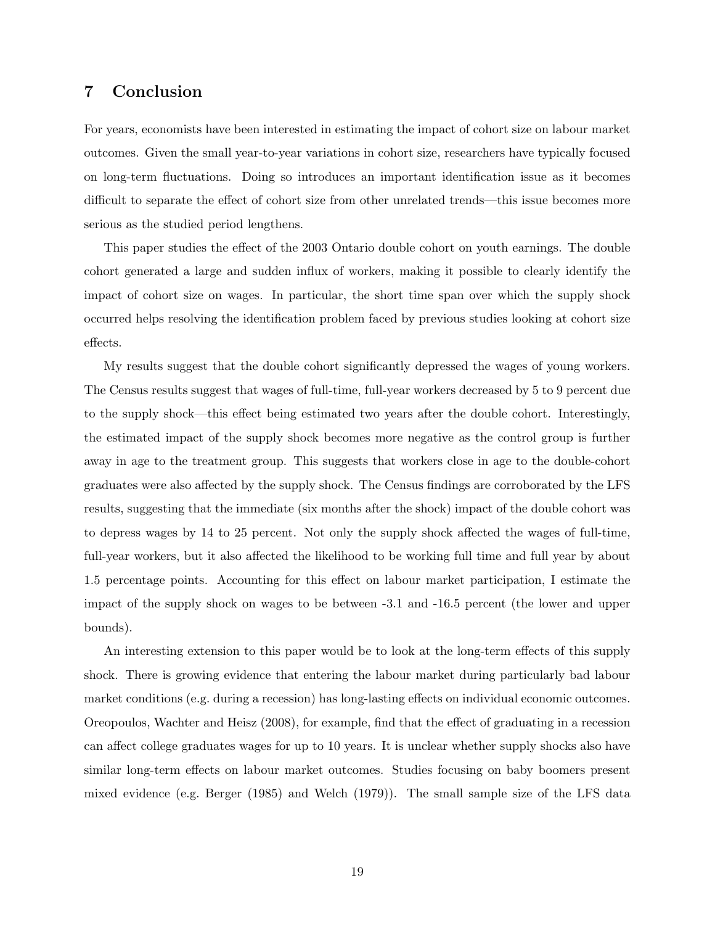# <span id="page-18-0"></span>7 Conclusion

For years, economists have been interested in estimating the impact of cohort size on labour market outcomes. Given the small year-to-year variations in cohort size, researchers have typically focused on long-term fluctuations. Doing so introduces an important identification issue as it becomes difficult to separate the effect of cohort size from other unrelated trends—this issue becomes more serious as the studied period lengthens.

This paper studies the effect of the 2003 Ontario double cohort on youth earnings. The double cohort generated a large and sudden influx of workers, making it possible to clearly identify the impact of cohort size on wages. In particular, the short time span over which the supply shock occurred helps resolving the identification problem faced by previous studies looking at cohort size effects.

My results suggest that the double cohort significantly depressed the wages of young workers. The Census results suggest that wages of full-time, full-year workers decreased by 5 to 9 percent due to the supply shock—this effect being estimated two years after the double cohort. Interestingly, the estimated impact of the supply shock becomes more negative as the control group is further away in age to the treatment group. This suggests that workers close in age to the double-cohort graduates were also affected by the supply shock. The Census findings are corroborated by the LFS results, suggesting that the immediate (six months after the shock) impact of the double cohort was to depress wages by 14 to 25 percent. Not only the supply shock affected the wages of full-time, full-year workers, but it also affected the likelihood to be working full time and full year by about 1.5 percentage points. Accounting for this effect on labour market participation, I estimate the impact of the supply shock on wages to be between -3.1 and -16.5 percent (the lower and upper bounds).

An interesting extension to this paper would be to look at the long-term effects of this supply shock. There is growing evidence that entering the labour market during particularly bad labour market conditions (e.g. during a recession) has long-lasting effects on individual economic outcomes. Oreopoulos, Wachter and Heisz (2008), for example, find that the effect of graduating in a recession can affect college graduates wages for up to 10 years. It is unclear whether supply shocks also have similar long-term effects on labour market outcomes. Studies focusing on baby boomers present mixed evidence (e.g. Berger (1985) and Welch (1979)). The small sample size of the LFS data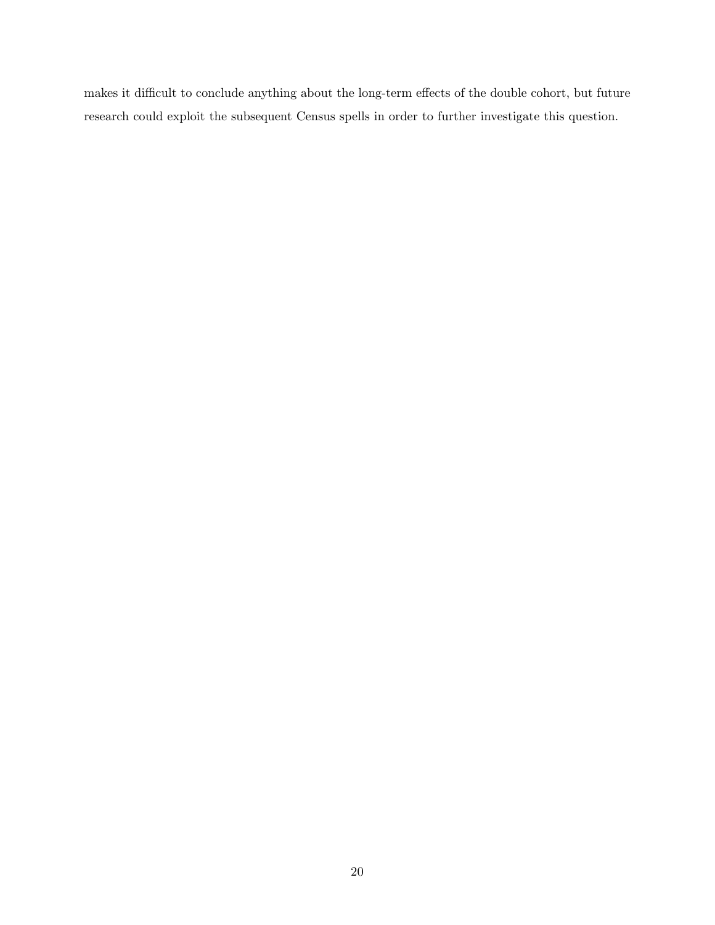makes it difficult to conclude anything about the long-term effects of the double cohort, but future research could exploit the subsequent Census spells in order to further investigate this question.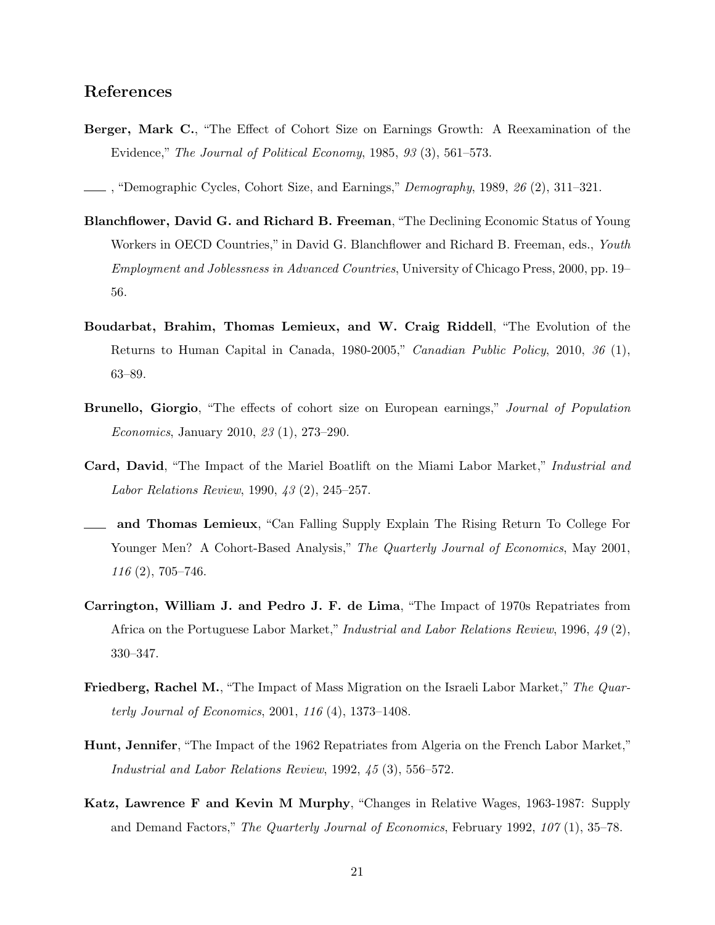# References

Berger, Mark C., "The Effect of Cohort Size on Earnings Growth: A Reexamination of the Evidence," The Journal of Political Economy, 1985, 93 (3), 561–573.

, "Demographic Cycles, Cohort Size, and Earnings," Demography, 1989, 26 (2), 311–321.

- Blanchflower, David G. and Richard B. Freeman, "The Declining Economic Status of Young Workers in OECD Countries," in David G. Blanchflower and Richard B. Freeman, eds., Youth Employment and Joblessness in Advanced Countries, University of Chicago Press, 2000, pp. 19– 56.
- Boudarbat, Brahim, Thomas Lemieux, and W. Craig Riddell, "The Evolution of the Returns to Human Capital in Canada, 1980-2005," Canadian Public Policy, 2010, 36 (1), 63–89.
- Brunello, Giorgio, "The effects of cohort size on European earnings," Journal of Population Economics, January 2010, 23 (1), 273–290.
- Card, David, "The Impact of the Mariel Boatlift on the Miami Labor Market," Industrial and Labor Relations Review, 1990, 43 (2), 245–257.
- and Thomas Lemieux, "Can Falling Supply Explain The Rising Return To College For Younger Men? A Cohort-Based Analysis," The Quarterly Journal of Economics, May 2001, 116 (2), 705–746.
- Carrington, William J. and Pedro J. F. de Lima, "The Impact of 1970s Repatriates from Africa on the Portuguese Labor Market," Industrial and Labor Relations Review, 1996, 49 (2), 330–347.
- Friedberg, Rachel M., "The Impact of Mass Migration on the Israeli Labor Market," The Quarterly Journal of Economics, 2001, 116 (4), 1373–1408.
- Hunt, Jennifer, "The Impact of the 1962 Repatriates from Algeria on the French Labor Market," Industrial and Labor Relations Review, 1992, 45 (3), 556–572.
- Katz, Lawrence F and Kevin M Murphy, "Changes in Relative Wages, 1963-1987: Supply and Demand Factors," The Quarterly Journal of Economics, February 1992, 107 (1), 35–78.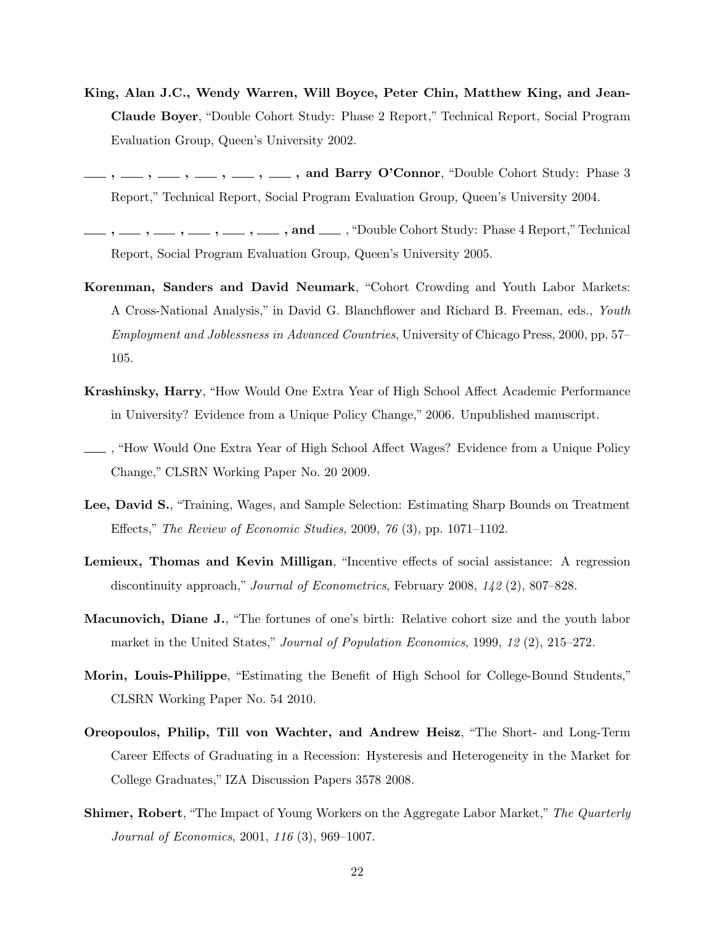- King, Alan J.C., Wendy Warren, Will Boyce, Peter Chin, Matthew King, and Jean-Claude Boyer, "Double Cohort Study: Phase 2 Report," Technical Report, Social Program Evaluation Group, Queen's University 2002.
- $, -1, -1, -1, -1, -1, -1,$  and Barry O'Connor, "Double Cohort Study: Phase 3 Report," Technical Report, Social Program Evaluation Group, Queen's University 2004.
- , , , , , , and , "Double Cohort Study: Phase 4 Report," Technical Report, Social Program Evaluation Group, Queen's University 2005.
- Korenman, Sanders and David Neumark, "Cohort Crowding and Youth Labor Markets: A Cross-National Analysis," in David G. Blanchflower and Richard B. Freeman, eds., Youth Employment and Joblessness in Advanced Countries, University of Chicago Press, 2000, pp. 57– 105.
- Krashinsky, Harry, "How Would One Extra Year of High School Affect Academic Performance in University? Evidence from a Unique Policy Change," 2006. Unpublished manuscript.
- , "How Would One Extra Year of High School Affect Wages? Evidence from a Unique Policy Change," CLSRN Working Paper No. 20 2009.
- Lee, David S., "Training, Wages, and Sample Selection: Estimating Sharp Bounds on Treatment Effects," The Review of Economic Studies, 2009, 76 (3), pp. 1071–1102.
- Lemieux, Thomas and Kevin Milligan, "Incentive effects of social assistance: A regression discontinuity approach," Journal of Econometrics, February 2008, 142 (2), 807–828.
- Macunovich, Diane J., "The fortunes of one's birth: Relative cohort size and the youth labor market in the United States," Journal of Population Economics, 1999, 12 (2), 215–272.
- Morin, Louis-Philippe, "Estimating the Benefit of High School for College-Bound Students," CLSRN Working Paper No. 54 2010.
- Oreopoulos, Philip, Till von Wachter, and Andrew Heisz, "The Short- and Long-Term Career Effects of Graduating in a Recession: Hysteresis and Heterogeneity in the Market for College Graduates," IZA Discussion Papers 3578 2008.
- **Shimer, Robert**, "The Impact of Young Workers on the Aggregate Labor Market," The Quarterly Journal of Economics, 2001, 116 (3), 969–1007.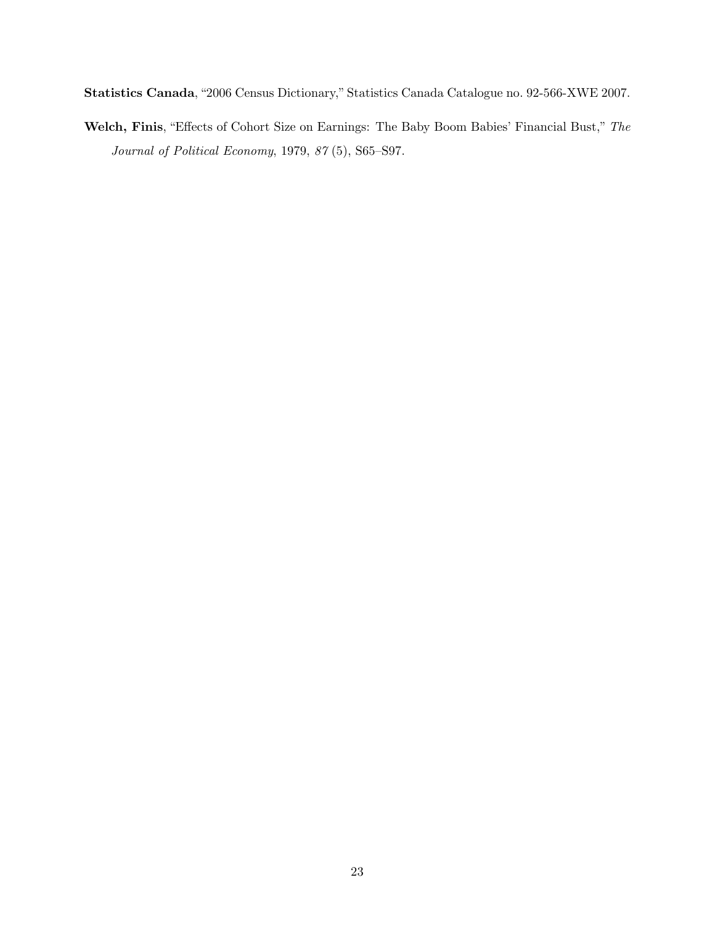Statistics Canada, "2006 Census Dictionary," Statistics Canada Catalogue no. 92-566-XWE 2007.

Welch, Finis, "Effects of Cohort Size on Earnings: The Baby Boom Babies' Financial Bust," The Journal of Political Economy, 1979, 87 (5), S65–S97.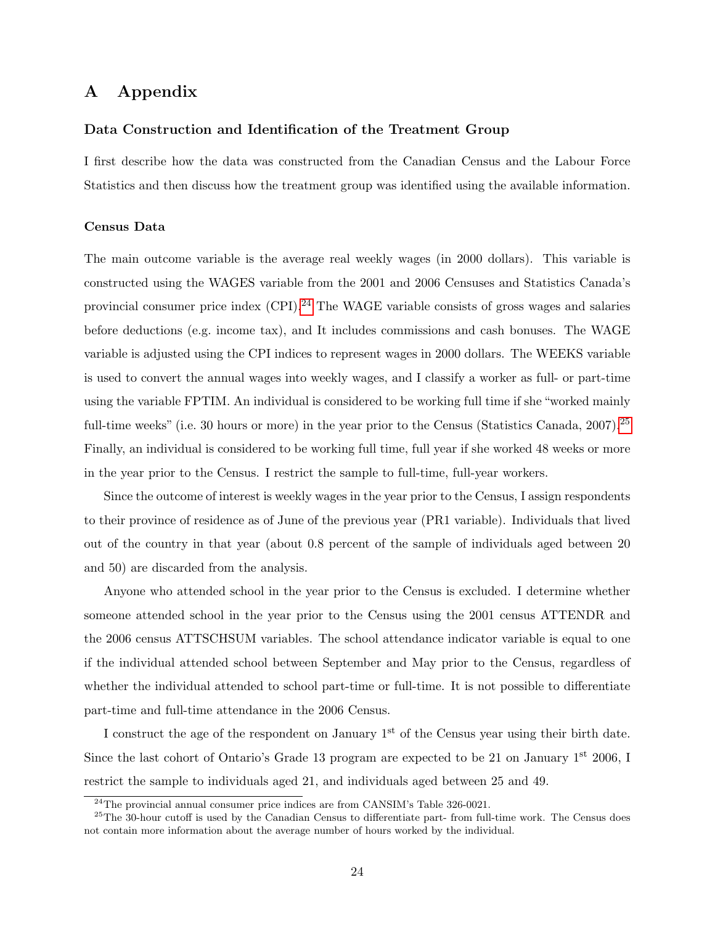# A Appendix

### Data Construction and Identification of the Treatment Group

I first describe how the data was constructed from the Canadian Census and the Labour Force Statistics and then discuss how the treatment group was identified using the available information.

#### Census Data

The main outcome variable is the average real weekly wages (in 2000 dollars). This variable is constructed using the WAGES variable from the 2001 and 2006 Censuses and Statistics Canada's provincial consumer price index  $(CPI)$ .<sup>[24](#page-23-0)</sup> The WAGE variable consists of gross wages and salaries before deductions (e.g. income tax), and It includes commissions and cash bonuses. The WAGE variable is adjusted using the CPI indices to represent wages in 2000 dollars. The WEEKS variable is used to convert the annual wages into weekly wages, and I classify a worker as full- or part-time using the variable FPTIM. An individual is considered to be working full time if she "worked mainly full-time weeks" (i.e. 30 hours or more) in the year prior to the Census (Statistics Canada, 2007).<sup>[25](#page-23-1)</sup> Finally, an individual is considered to be working full time, full year if she worked 48 weeks or more in the year prior to the Census. I restrict the sample to full-time, full-year workers.

Since the outcome of interest is weekly wages in the year prior to the Census, I assign respondents to their province of residence as of June of the previous year (PR1 variable). Individuals that lived out of the country in that year (about 0.8 percent of the sample of individuals aged between 20 and 50) are discarded from the analysis.

Anyone who attended school in the year prior to the Census is excluded. I determine whether someone attended school in the year prior to the Census using the 2001 census ATTENDR and the 2006 census ATTSCHSUM variables. The school attendance indicator variable is equal to one if the individual attended school between September and May prior to the Census, regardless of whether the individual attended to school part-time or full-time. It is not possible to differentiate part-time and full-time attendance in the 2006 Census.

I construct the age of the respondent on January  $1<sup>st</sup>$  of the Census year using their birth date. Since the last cohort of Ontario's Grade 13 program are expected to be 21 on January 1<sup>st</sup> 2006, I restrict the sample to individuals aged 21, and individuals aged between 25 and 49.

<span id="page-23-1"></span><span id="page-23-0"></span> $24$ The provincial annual consumer price indices are from CANSIM's Table 326-0021.

<sup>&</sup>lt;sup>25</sup>The 30-hour cutoff is used by the Canadian Census to differentiate part- from full-time work. The Census does not contain more information about the average number of hours worked by the individual.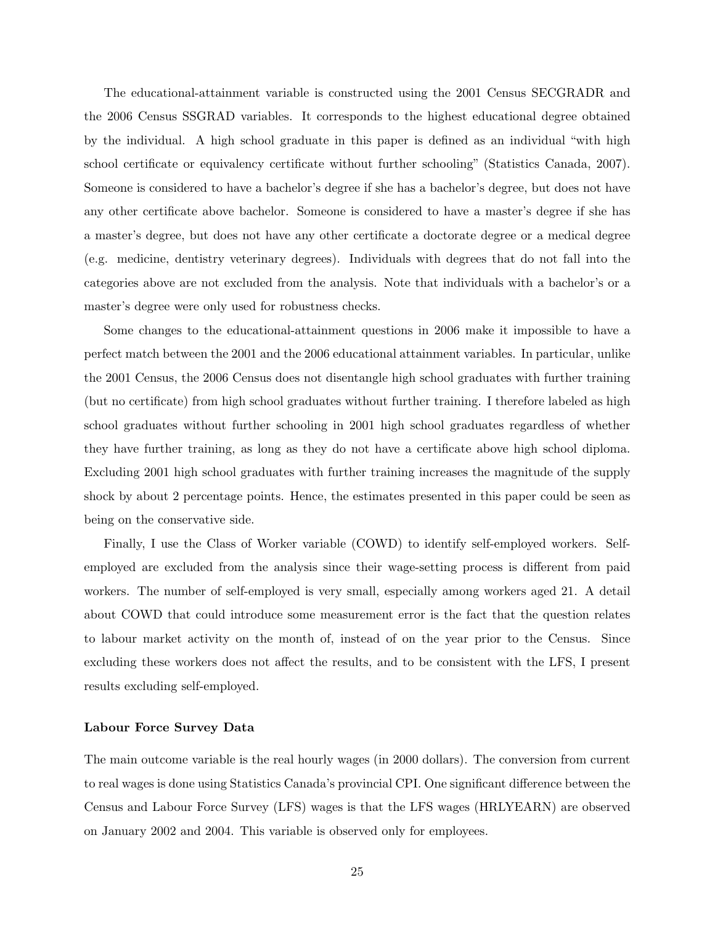The educational-attainment variable is constructed using the 2001 Census SECGRADR and the 2006 Census SSGRAD variables. It corresponds to the highest educational degree obtained by the individual. A high school graduate in this paper is defined as an individual "with high school certificate or equivalency certificate without further schooling" (Statistics Canada, 2007). Someone is considered to have a bachelor's degree if she has a bachelor's degree, but does not have any other certificate above bachelor. Someone is considered to have a master's degree if she has a master's degree, but does not have any other certificate a doctorate degree or a medical degree (e.g. medicine, dentistry veterinary degrees). Individuals with degrees that do not fall into the categories above are not excluded from the analysis. Note that individuals with a bachelor's or a master's degree were only used for robustness checks.

Some changes to the educational-attainment questions in 2006 make it impossible to have a perfect match between the 2001 and the 2006 educational attainment variables. In particular, unlike the 2001 Census, the 2006 Census does not disentangle high school graduates with further training (but no certificate) from high school graduates without further training. I therefore labeled as high school graduates without further schooling in 2001 high school graduates regardless of whether they have further training, as long as they do not have a certificate above high school diploma. Excluding 2001 high school graduates with further training increases the magnitude of the supply shock by about 2 percentage points. Hence, the estimates presented in this paper could be seen as being on the conservative side.

Finally, I use the Class of Worker variable (COWD) to identify self-employed workers. Selfemployed are excluded from the analysis since their wage-setting process is different from paid workers. The number of self-employed is very small, especially among workers aged 21. A detail about COWD that could introduce some measurement error is the fact that the question relates to labour market activity on the month of, instead of on the year prior to the Census. Since excluding these workers does not affect the results, and to be consistent with the LFS, I present results excluding self-employed.

#### Labour Force Survey Data

The main outcome variable is the real hourly wages (in 2000 dollars). The conversion from current to real wages is done using Statistics Canada's provincial CPI. One significant difference between the Census and Labour Force Survey (LFS) wages is that the LFS wages (HRLYEARN) are observed on January 2002 and 2004. This variable is observed only for employees.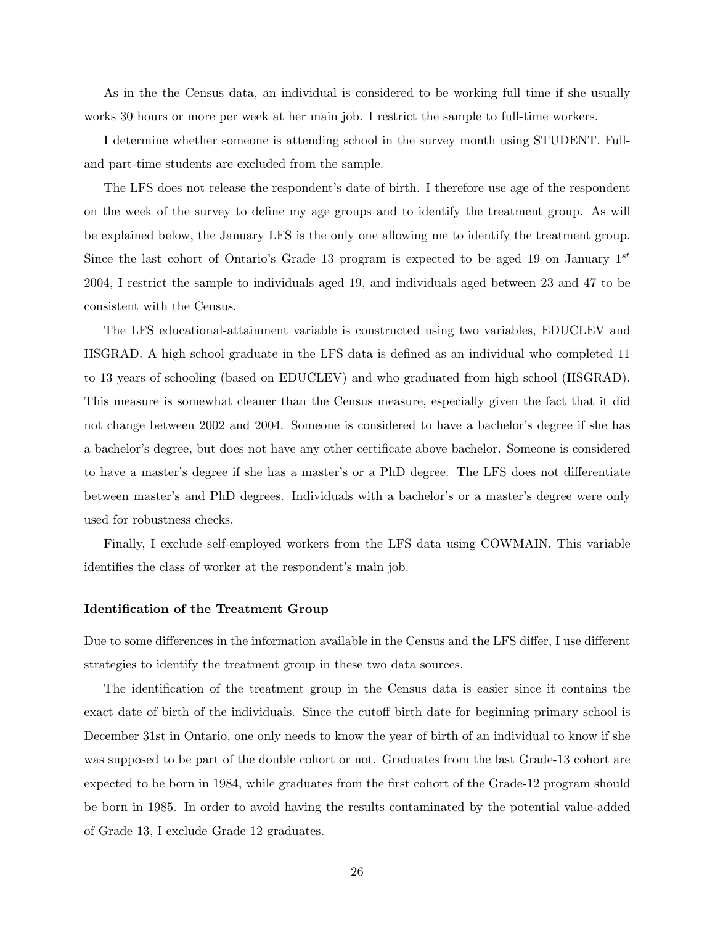As in the the Census data, an individual is considered to be working full time if she usually works 30 hours or more per week at her main job. I restrict the sample to full-time workers.

I determine whether someone is attending school in the survey month using STUDENT. Fulland part-time students are excluded from the sample.

The LFS does not release the respondent's date of birth. I therefore use age of the respondent on the week of the survey to define my age groups and to identify the treatment group. As will be explained below, the January LFS is the only one allowing me to identify the treatment group. Since the last cohort of Ontario's Grade 13 program is expected to be aged 19 on January  $1^{st}$ 2004, I restrict the sample to individuals aged 19, and individuals aged between 23 and 47 to be consistent with the Census.

The LFS educational-attainment variable is constructed using two variables, EDUCLEV and HSGRAD. A high school graduate in the LFS data is defined as an individual who completed 11 to 13 years of schooling (based on EDUCLEV) and who graduated from high school (HSGRAD). This measure is somewhat cleaner than the Census measure, especially given the fact that it did not change between 2002 and 2004. Someone is considered to have a bachelor's degree if she has a bachelor's degree, but does not have any other certificate above bachelor. Someone is considered to have a master's degree if she has a master's or a PhD degree. The LFS does not differentiate between master's and PhD degrees. Individuals with a bachelor's or a master's degree were only used for robustness checks.

Finally, I exclude self-employed workers from the LFS data using COWMAIN. This variable identifies the class of worker at the respondent's main job.

#### Identification of the Treatment Group

Due to some differences in the information available in the Census and the LFS differ, I use different strategies to identify the treatment group in these two data sources.

The identification of the treatment group in the Census data is easier since it contains the exact date of birth of the individuals. Since the cutoff birth date for beginning primary school is December 31st in Ontario, one only needs to know the year of birth of an individual to know if she was supposed to be part of the double cohort or not. Graduates from the last Grade-13 cohort are expected to be born in 1984, while graduates from the first cohort of the Grade-12 program should be born in 1985. In order to avoid having the results contaminated by the potential value-added of Grade 13, I exclude Grade 12 graduates.